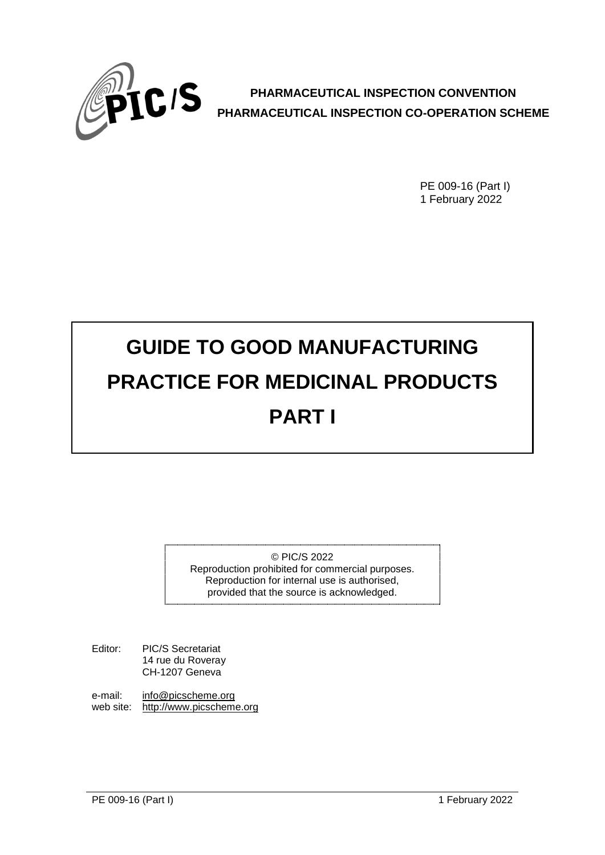

**PHARMACEUTICAL INSPECTION CONVENTION PHARMACEUTICAL INSPECTION CO-OPERATION SCHEME**

> PE 009-16 (Part I) 1 February 2022

# **GUIDE TO GOOD MANUFACTURING PRACTICE FOR MEDICINAL PRODUCTS PART I**

© PIC/S 2022 Reproduction prohibited for commercial purposes. Reproduction for internal use is authorised, provided that the source is acknowledged. 

Editor: PIC/S Secretariat 14 rue du Roveray CH-1207 Geneva

e-mail: info@picscheme.org web site: http://www.picscheme.org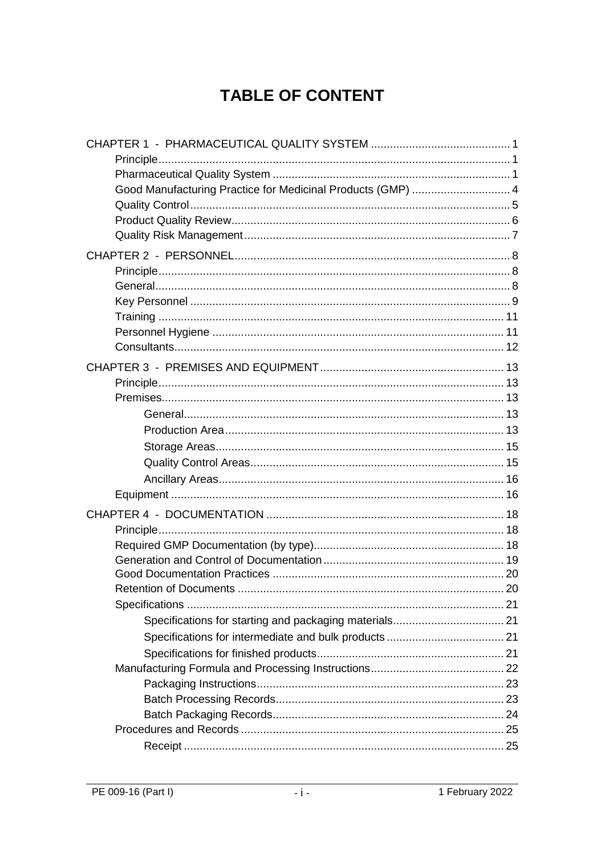## **TABLE OF CONTENT**

| Good Manufacturing Practice for Medicinal Products (GMP)  4 |  |
|-------------------------------------------------------------|--|
|                                                             |  |
|                                                             |  |
|                                                             |  |
|                                                             |  |
|                                                             |  |
|                                                             |  |
|                                                             |  |
|                                                             |  |
|                                                             |  |
|                                                             |  |
|                                                             |  |
|                                                             |  |
|                                                             |  |
|                                                             |  |
|                                                             |  |
|                                                             |  |
|                                                             |  |
|                                                             |  |
|                                                             |  |
|                                                             |  |
|                                                             |  |
|                                                             |  |
|                                                             |  |
|                                                             |  |
|                                                             |  |
|                                                             |  |
|                                                             |  |
|                                                             |  |
|                                                             |  |
|                                                             |  |
|                                                             |  |
|                                                             |  |
|                                                             |  |
|                                                             |  |
|                                                             |  |
|                                                             |  |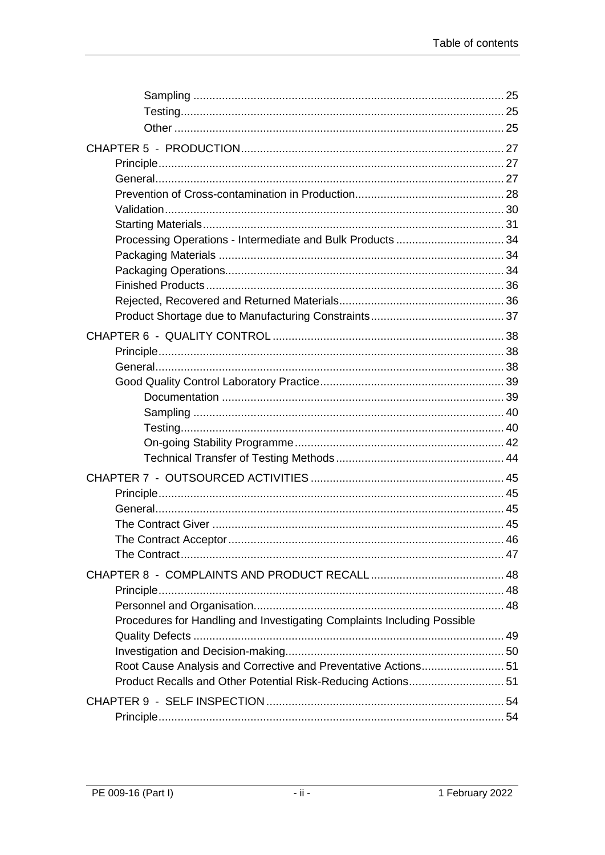| Procedures for Handling and Investigating Complaints Including Possible |  |
|-------------------------------------------------------------------------|--|
|                                                                         |  |
|                                                                         |  |
| Root Cause Analysis and Corrective and Preventative Actions 51          |  |
| Product Recalls and Other Potential Risk-Reducing Actions 51            |  |
|                                                                         |  |
|                                                                         |  |
|                                                                         |  |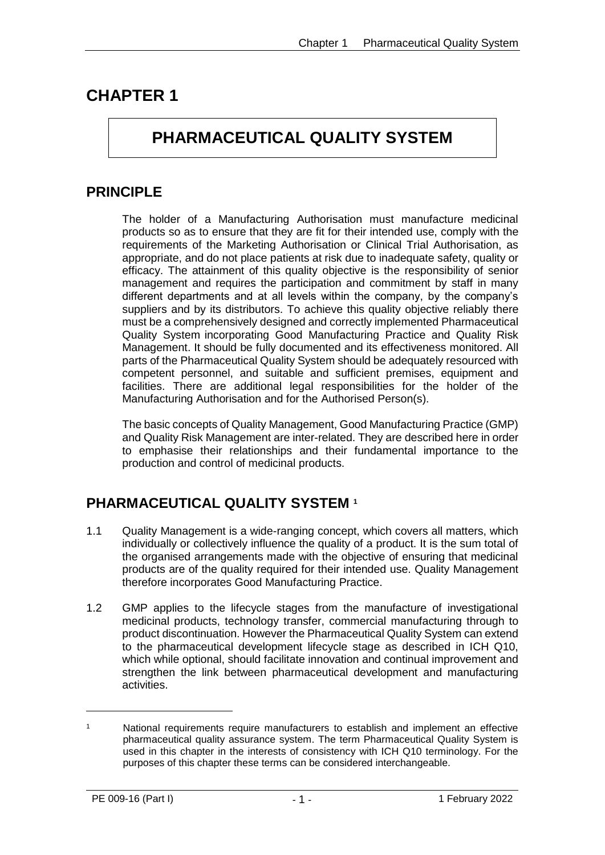## **CHAPTER 1**

## **PHARMACEUTICAL QUALITY SYSTEM**

### **PRINCIPLE**

The holder of a Manufacturing Authorisation must manufacture medicinal products so as to ensure that they are fit for their intended use, comply with the requirements of the Marketing Authorisation or Clinical Trial Authorisation, as appropriate, and do not place patients at risk due to inadequate safety, quality or efficacy. The attainment of this quality objective is the responsibility of senior management and requires the participation and commitment by staff in many different departments and at all levels within the company, by the company's suppliers and by its distributors. To achieve this quality objective reliably there must be a comprehensively designed and correctly implemented Pharmaceutical Quality System incorporating Good Manufacturing Practice and Quality Risk Management. It should be fully documented and its effectiveness monitored. All parts of the Pharmaceutical Quality System should be adequately resourced with competent personnel, and suitable and sufficient premises, equipment and facilities. There are additional legal responsibilities for the holder of the Manufacturing Authorisation and for the Authorised Person(s).

The basic concepts of Quality Management, Good Manufacturing Practice (GMP) and Quality Risk Management are inter-related. They are described here in order to emphasise their relationships and their fundamental importance to the production and control of medicinal products.

## **PHARMACEUTICAL QUALITY SYSTEM <sup>1</sup>**

- 1.1 Quality Management is a wide-ranging concept, which covers all matters, which individually or collectively influence the quality of a product. It is the sum total of the organised arrangements made with the objective of ensuring that medicinal products are of the quality required for their intended use. Quality Management therefore incorporates Good Manufacturing Practice.
- 1.2 GMP applies to the lifecycle stages from the manufacture of investigational medicinal products, technology transfer, commercial manufacturing through to product discontinuation. However the Pharmaceutical Quality System can extend to the pharmaceutical development lifecycle stage as described in ICH Q10, which while optional, should facilitate innovation and continual improvement and strengthen the link between pharmaceutical development and manufacturing activities.

 $\overline{a}$ 

<sup>1</sup> National requirements require manufacturers to establish and implement an effective pharmaceutical quality assurance system. The term Pharmaceutical Quality System is used in this chapter in the interests of consistency with ICH Q10 terminology. For the purposes of this chapter these terms can be considered interchangeable.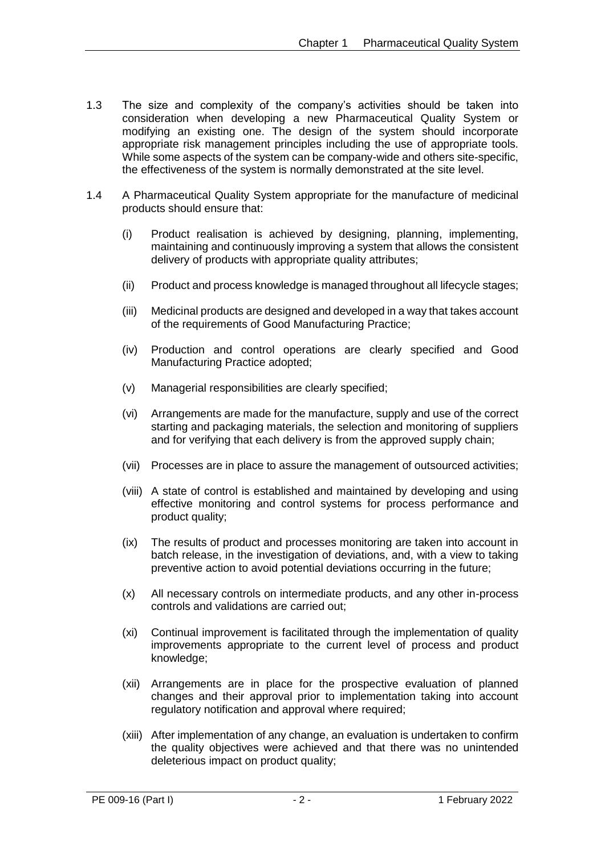- 1.3 The size and complexity of the company's activities should be taken into consideration when developing a new Pharmaceutical Quality System or modifying an existing one. The design of the system should incorporate appropriate risk management principles including the use of appropriate tools. While some aspects of the system can be company-wide and others site-specific, the effectiveness of the system is normally demonstrated at the site level.
- 1.4 A Pharmaceutical Quality System appropriate for the manufacture of medicinal products should ensure that:
	- (i) Product realisation is achieved by designing, planning, implementing, maintaining and continuously improving a system that allows the consistent delivery of products with appropriate quality attributes;
	- (ii) Product and process knowledge is managed throughout all lifecycle stages;
	- (iii) Medicinal products are designed and developed in a way that takes account of the requirements of Good Manufacturing Practice;
	- (iv) Production and control operations are clearly specified and Good Manufacturing Practice adopted;
	- (v) Managerial responsibilities are clearly specified;
	- (vi) Arrangements are made for the manufacture, supply and use of the correct starting and packaging materials, the selection and monitoring of suppliers and for verifying that each delivery is from the approved supply chain;
	- (vii) Processes are in place to assure the management of outsourced activities;
	- (viii) A state of control is established and maintained by developing and using effective monitoring and control systems for process performance and product quality;
	- (ix) The results of product and processes monitoring are taken into account in batch release, in the investigation of deviations, and, with a view to taking preventive action to avoid potential deviations occurring in the future;
	- (x) All necessary controls on intermediate products, and any other in-process controls and validations are carried out;
	- (xi) Continual improvement is facilitated through the implementation of quality improvements appropriate to the current level of process and product knowledge;
	- (xii) Arrangements are in place for the prospective evaluation of planned changes and their approval prior to implementation taking into account regulatory notification and approval where required;
	- (xiii) After implementation of any change, an evaluation is undertaken to confirm the quality objectives were achieved and that there was no unintended deleterious impact on product quality;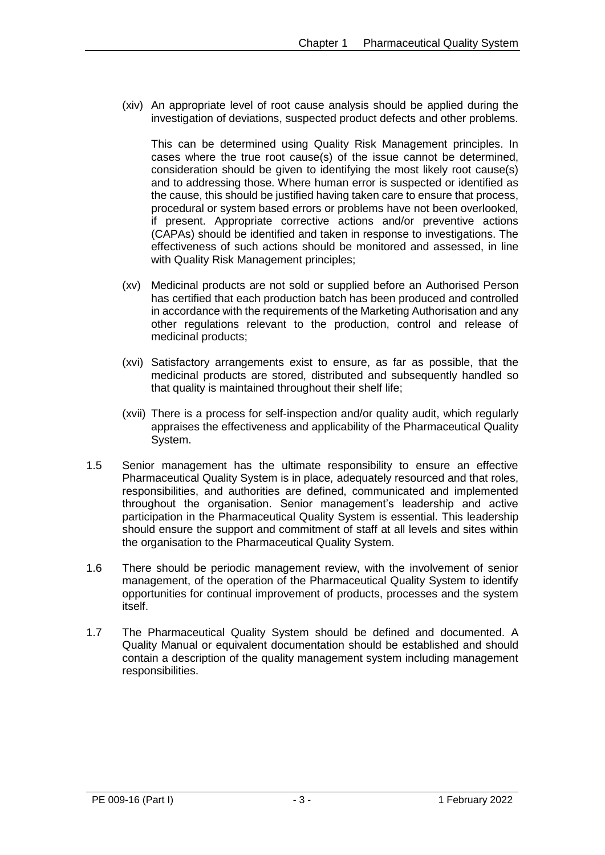(xiv) An appropriate level of root cause analysis should be applied during the investigation of deviations, suspected product defects and other problems.

This can be determined using Quality Risk Management principles. In cases where the true root cause(s) of the issue cannot be determined, consideration should be given to identifying the most likely root cause(s) and to addressing those. Where human error is suspected or identified as the cause, this should be justified having taken care to ensure that process, procedural or system based errors or problems have not been overlooked, if present. Appropriate corrective actions and/or preventive actions (CAPAs) should be identified and taken in response to investigations. The effectiveness of such actions should be monitored and assessed, in line with Quality Risk Management principles;

- (xv) Medicinal products are not sold or supplied before an Authorised Person has certified that each production batch has been produced and controlled in accordance with the requirements of the Marketing Authorisation and any other regulations relevant to the production, control and release of medicinal products;
- (xvi) Satisfactory arrangements exist to ensure, as far as possible, that the medicinal products are stored, distributed and subsequently handled so that quality is maintained throughout their shelf life;
- (xvii) There is a process for self-inspection and/or quality audit, which regularly appraises the effectiveness and applicability of the Pharmaceutical Quality System.
- 1.5 Senior management has the ultimate responsibility to ensure an effective Pharmaceutical Quality System is in place*,* adequately resourced and that roles, responsibilities, and authorities are defined, communicated and implemented throughout the organisation. Senior management's leadership and active participation in the Pharmaceutical Quality System is essential. This leadership should ensure the support and commitment of staff at all levels and sites within the organisation to the Pharmaceutical Quality System.
- 1.6 There should be periodic management review, with the involvement of senior management, of the operation of the Pharmaceutical Quality System to identify opportunities for continual improvement of products, processes and the system itself.
- 1.7 The Pharmaceutical Quality System should be defined and documented. A Quality Manual or equivalent documentation should be established and should contain a description of the quality management system including management responsibilities.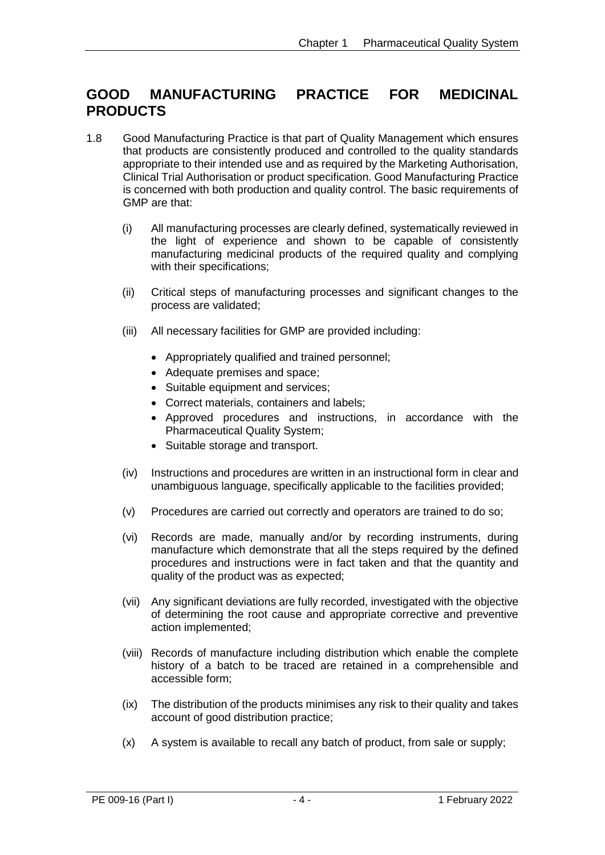#### **GOOD MANUFACTURING PRACTICE FOR MEDICINAL PRODUCTS**

- 1.8 Good Manufacturing Practice is that part of Quality Management which ensures that products are consistently produced and controlled to the quality standards appropriate to their intended use and as required by the Marketing Authorisation, Clinical Trial Authorisation or product specification. Good Manufacturing Practice is concerned with both production and quality control. The basic requirements of GMP are that:
	- (i) All manufacturing processes are clearly defined, systematically reviewed in the light of experience and shown to be capable of consistently manufacturing medicinal products of the required quality and complying with their specifications;
	- (ii) Critical steps of manufacturing processes and significant changes to the process are validated;
	- (iii) All necessary facilities for GMP are provided including:
		- Appropriately qualified and trained personnel;
		- Adequate premises and space;
		- Suitable equipment and services;
		- Correct materials, containers and labels;
		- Approved procedures and instructions, in accordance with the Pharmaceutical Quality System;
		- Suitable storage and transport.
	- (iv) Instructions and procedures are written in an instructional form in clear and unambiguous language, specifically applicable to the facilities provided;
	- (v) Procedures are carried out correctly and operators are trained to do so;
	- (vi) Records are made, manually and/or by recording instruments, during manufacture which demonstrate that all the steps required by the defined procedures and instructions were in fact taken and that the quantity and quality of the product was as expected;
	- (vii) Any significant deviations are fully recorded, investigated with the objective of determining the root cause and appropriate corrective and preventive action implemented;
	- (viii) Records of manufacture including distribution which enable the complete history of a batch to be traced are retained in a comprehensible and accessible form;
	- (ix) The distribution of the products minimises any risk to their quality and takes account of good distribution practice;
	- (x) A system is available to recall any batch of product, from sale or supply;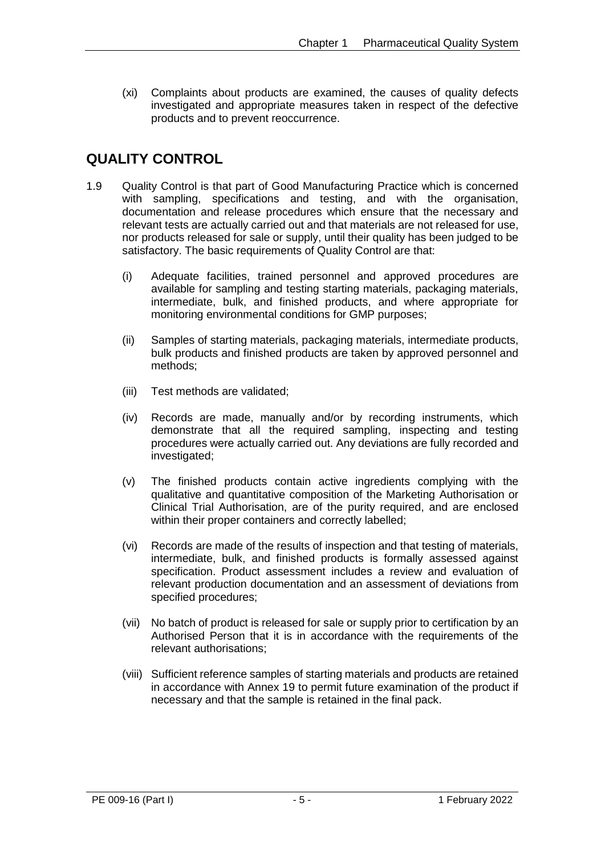(xi) Complaints about products are examined, the causes of quality defects investigated and appropriate measures taken in respect of the defective products and to prevent reoccurrence.

### **QUALITY CONTROL**

- 1.9 Quality Control is that part of Good Manufacturing Practice which is concerned with sampling, specifications and testing, and with the organisation, documentation and release procedures which ensure that the necessary and relevant tests are actually carried out and that materials are not released for use, nor products released for sale or supply, until their quality has been judged to be satisfactory. The basic requirements of Quality Control are that:
	- (i) Adequate facilities, trained personnel and approved procedures are available for sampling and testing starting materials, packaging materials, intermediate, bulk, and finished products, and where appropriate for monitoring environmental conditions for GMP purposes;
	- (ii) Samples of starting materials, packaging materials, intermediate products, bulk products and finished products are taken by approved personnel and methods;
	- (iii) Test methods are validated;
	- (iv) Records are made, manually and/or by recording instruments, which demonstrate that all the required sampling, inspecting and testing procedures were actually carried out. Any deviations are fully recorded and investigated;
	- (v) The finished products contain active ingredients complying with the qualitative and quantitative composition of the Marketing Authorisation or Clinical Trial Authorisation, are of the purity required, and are enclosed within their proper containers and correctly labelled;
	- (vi) Records are made of the results of inspection and that testing of materials, intermediate, bulk, and finished products is formally assessed against specification. Product assessment includes a review and evaluation of relevant production documentation and an assessment of deviations from specified procedures;
	- (vii) No batch of product is released for sale or supply prior to certification by an Authorised Person that it is in accordance with the requirements of the relevant authorisations;
	- (viii) Sufficient reference samples of starting materials and products are retained in accordance with Annex 19 to permit future examination of the product if necessary and that the sample is retained in the final pack.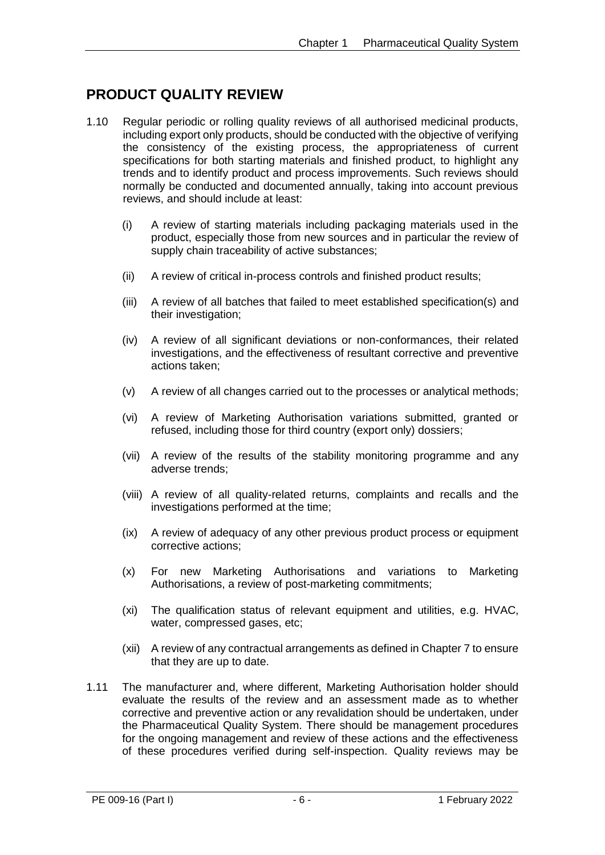### **PRODUCT QUALITY REVIEW**

- 1.10 Regular periodic or rolling quality reviews of all authorised medicinal products, including export only products, should be conducted with the objective of verifying the consistency of the existing process, the appropriateness of current specifications for both starting materials and finished product, to highlight any trends and to identify product and process improvements. Such reviews should normally be conducted and documented annually, taking into account previous reviews, and should include at least:
	- (i) A review of starting materials including packaging materials used in the product, especially those from new sources and in particular the review of supply chain traceability of active substances;
	- (ii) A review of critical in-process controls and finished product results;
	- (iii) A review of all batches that failed to meet established specification(s) and their investigation;
	- (iv) A review of all significant deviations or non-conformances, their related investigations, and the effectiveness of resultant corrective and preventive actions taken;
	- (v) A review of all changes carried out to the processes or analytical methods;
	- (vi) A review of Marketing Authorisation variations submitted, granted or refused, including those for third country (export only) dossiers;
	- (vii) A review of the results of the stability monitoring programme and any adverse trends;
	- (viii) A review of all quality-related returns, complaints and recalls and the investigations performed at the time;
	- (ix) A review of adequacy of any other previous product process or equipment corrective actions;
	- (x) For new Marketing Authorisations and variations to Marketing Authorisations, a review of post-marketing commitments;
	- (xi) The qualification status of relevant equipment and utilities, e.g. HVAC, water, compressed gases, etc;
	- (xii) A review of any contractual arrangements as defined in Chapter 7 to ensure that they are up to date.
- 1.11 The manufacturer and, where different, Marketing Authorisation holder should evaluate the results of the review and an assessment made as to whether corrective and preventive action or any revalidation should be undertaken, under the Pharmaceutical Quality System. There should be management procedures for the ongoing management and review of these actions and the effectiveness of these procedures verified during self-inspection. Quality reviews may be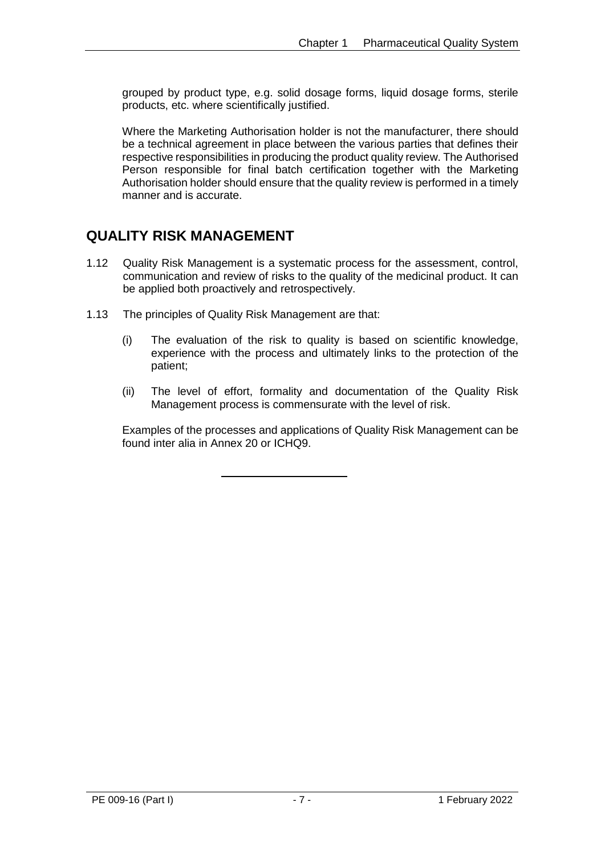grouped by product type, e.g. solid dosage forms, liquid dosage forms, sterile products, etc. where scientifically justified.

Where the Marketing Authorisation holder is not the manufacturer, there should be a technical agreement in place between the various parties that defines their respective responsibilities in producing the product quality review. The Authorised Person responsible for final batch certification together with the Marketing Authorisation holder should ensure that the quality review is performed in a timely manner and is accurate.

#### **QUALITY RISK MANAGEMENT**

- 1.12 Quality Risk Management is a systematic process for the assessment, control, communication and review of risks to the quality of the medicinal product. It can be applied both proactively and retrospectively.
- 1.13 The principles of Quality Risk Management are that:
	- (i) The evaluation of the risk to quality is based on scientific knowledge, experience with the process and ultimately links to the protection of the patient;
	- (ii) The level of effort, formality and documentation of the Quality Risk Management process is commensurate with the level of risk.

Examples of the processes and applications of Quality Risk Management can be found inter alia in Annex 20 or ICHQ9.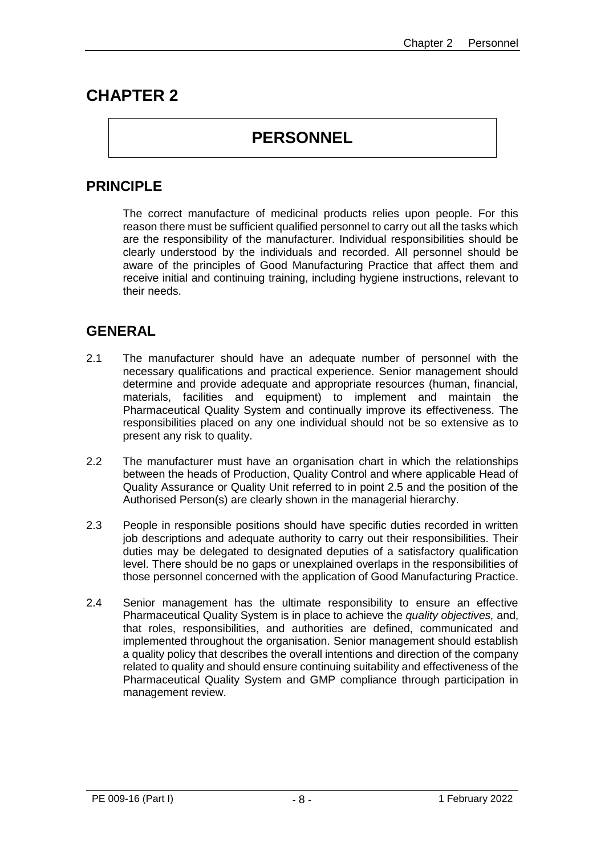## **CHAPTER 2**

## **PERSONNEL**

### **PRINCIPLE**

The correct manufacture of medicinal products relies upon people. For this reason there must be sufficient qualified personnel to carry out all the tasks which are the responsibility of the manufacturer. Individual responsibilities should be clearly understood by the individuals and recorded. All personnel should be aware of the principles of Good Manufacturing Practice that affect them and receive initial and continuing training, including hygiene instructions, relevant to their needs.

## **GENERAL**

- 2.1 The manufacturer should have an adequate number of personnel with the necessary qualifications and practical experience. Senior management should determine and provide adequate and appropriate resources (human, financial, materials, facilities and equipment) to implement and maintain the Pharmaceutical Quality System and continually improve its effectiveness. The responsibilities placed on any one individual should not be so extensive as to present any risk to quality.
- 2.2 The manufacturer must have an organisation chart in which the relationships between the heads of Production, Quality Control and where applicable Head of Quality Assurance or Quality Unit referred to in point 2.5 and the position of the Authorised Person(s) are clearly shown in the managerial hierarchy.
- 2.3 People in responsible positions should have specific duties recorded in written job descriptions and adequate authority to carry out their responsibilities. Their duties may be delegated to designated deputies of a satisfactory qualification level. There should be no gaps or unexplained overlaps in the responsibilities of those personnel concerned with the application of Good Manufacturing Practice.
- 2.4 Senior management has the ultimate responsibility to ensure an effective Pharmaceutical Quality System is in place to achieve the *quality objectives,* and, that roles, responsibilities, and authorities are defined, communicated and implemented throughout the organisation. Senior management should establish a quality policy that describes the overall intentions and direction of the company related to quality and should ensure continuing suitability and effectiveness of the Pharmaceutical Quality System and GMP compliance through participation in management review.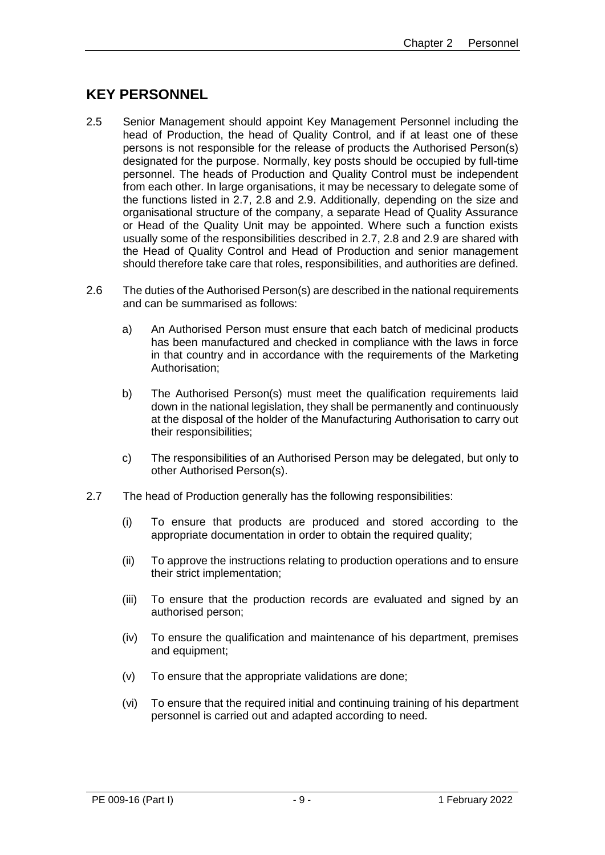## **KEY PERSONNEL**

- 2.5 Senior Management should appoint Key Management Personnel including the head of Production, the head of Quality Control, and if at least one of these persons is not responsible for the release of products the Authorised Person(s) designated for the purpose. Normally, key posts should be occupied by full-time personnel. The heads of Production and Quality Control must be independent from each other. In large organisations, it may be necessary to delegate some of the functions listed in 2.7, 2.8 and 2.9. Additionally, depending on the size and organisational structure of the company, a separate Head of Quality Assurance or Head of the Quality Unit may be appointed. Where such a function exists usually some of the responsibilities described in 2.7, 2.8 and 2.9 are shared with the Head of Quality Control and Head of Production and senior management should therefore take care that roles, responsibilities, and authorities are defined.
- 2.6 The duties of the Authorised Person(s) are described in the national requirements and can be summarised as follows:
	- a) An Authorised Person must ensure that each batch of medicinal products has been manufactured and checked in compliance with the laws in force in that country and in accordance with the requirements of the Marketing Authorisation;
	- b) The Authorised Person(s) must meet the qualification requirements laid down in the national legislation, they shall be permanently and continuously at the disposal of the holder of the Manufacturing Authorisation to carry out their responsibilities;
	- c) The responsibilities of an Authorised Person may be delegated, but only to other Authorised Person(s).
- 2.7 The head of Production generally has the following responsibilities:
	- (i) To ensure that products are produced and stored according to the appropriate documentation in order to obtain the required quality;
	- (ii) To approve the instructions relating to production operations and to ensure their strict implementation;
	- (iii) To ensure that the production records are evaluated and signed by an authorised person;
	- (iv) To ensure the qualification and maintenance of his department, premises and equipment;
	- (v) To ensure that the appropriate validations are done;
	- (vi) To ensure that the required initial and continuing training of his department personnel is carried out and adapted according to need.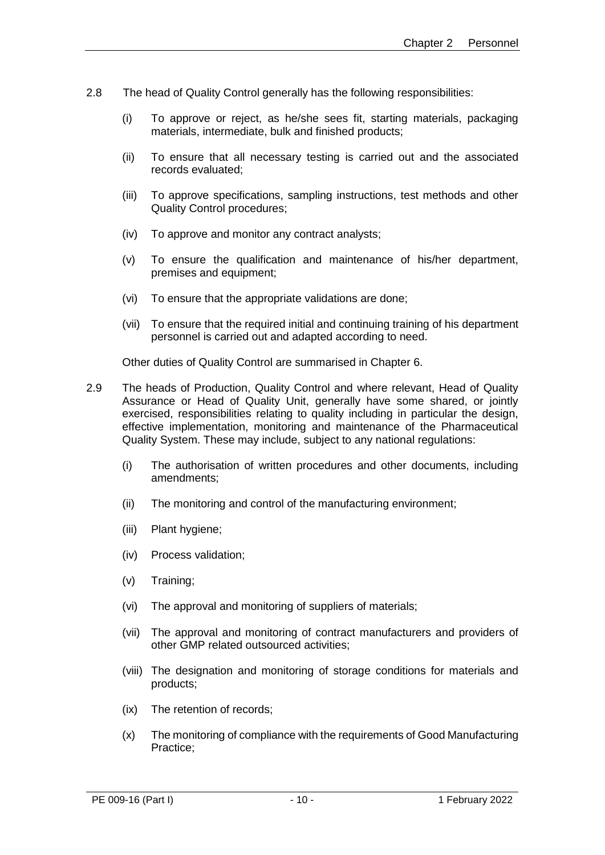- 2.8 The head of Quality Control generally has the following responsibilities:
	- (i) To approve or reject, as he/she sees fit, starting materials, packaging materials, intermediate, bulk and finished products;
	- (ii) To ensure that all necessary testing is carried out and the associated records evaluated;
	- (iii) To approve specifications, sampling instructions, test methods and other Quality Control procedures;
	- (iv) To approve and monitor any contract analysts;
	- (v) To ensure the qualification and maintenance of his/her department, premises and equipment;
	- (vi) To ensure that the appropriate validations are done;
	- (vii) To ensure that the required initial and continuing training of his department personnel is carried out and adapted according to need.

Other duties of Quality Control are summarised in Chapter 6.

- 2.9 The heads of Production, Quality Control and where relevant, Head of Quality Assurance or Head of Quality Unit, generally have some shared, or jointly exercised, responsibilities relating to quality including in particular the design, effective implementation, monitoring and maintenance of the Pharmaceutical Quality System. These may include, subject to any national regulations:
	- (i) The authorisation of written procedures and other documents, including amendments;
	- (ii) The monitoring and control of the manufacturing environment;
	- (iii) Plant hygiene;
	- (iv) Process validation;
	- (v) Training;
	- (vi) The approval and monitoring of suppliers of materials;
	- (vii) The approval and monitoring of contract manufacturers and providers of other GMP related outsourced activities;
	- (viii) The designation and monitoring of storage conditions for materials and products;
	- (ix) The retention of records;
	- (x) The monitoring of compliance with the requirements of Good Manufacturing Practice;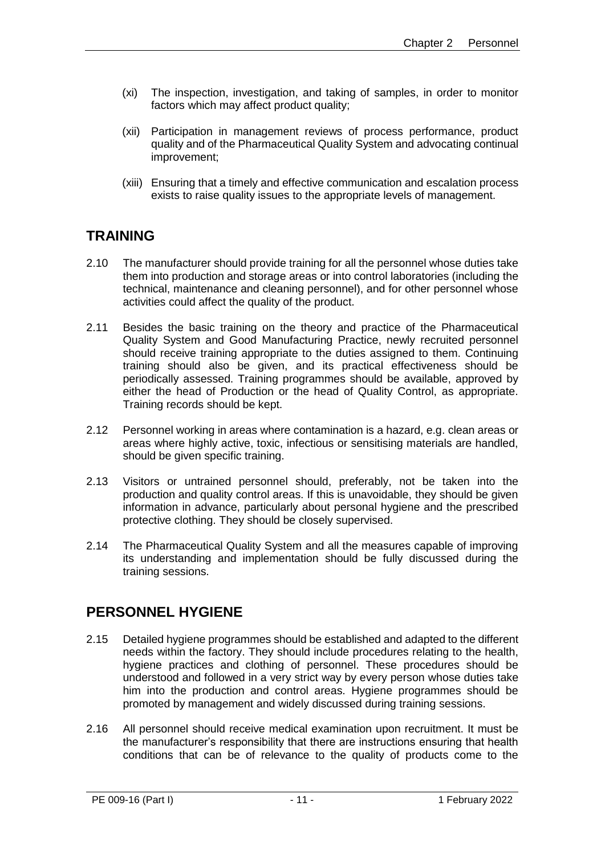- (xi) The inspection, investigation, and taking of samples, in order to monitor factors which may affect product quality;
- (xii) Participation in management reviews of process performance, product quality and of the Pharmaceutical Quality System and advocating continual improvement;
- (xiii) Ensuring that a timely and effective communication and escalation process exists to raise quality issues to the appropriate levels of management.

#### **TRAINING**

- 2.10 The manufacturer should provide training for all the personnel whose duties take them into production and storage areas or into control laboratories (including the technical, maintenance and cleaning personnel), and for other personnel whose activities could affect the quality of the product.
- 2.11 Besides the basic training on the theory and practice of the Pharmaceutical Quality System and Good Manufacturing Practice, newly recruited personnel should receive training appropriate to the duties assigned to them. Continuing training should also be given, and its practical effectiveness should be periodically assessed. Training programmes should be available, approved by either the head of Production or the head of Quality Control, as appropriate. Training records should be kept.
- 2.12 Personnel working in areas where contamination is a hazard, e.g. clean areas or areas where highly active, toxic, infectious or sensitising materials are handled, should be given specific training.
- 2.13 Visitors or untrained personnel should, preferably, not be taken into the production and quality control areas. If this is unavoidable, they should be given information in advance, particularly about personal hygiene and the prescribed protective clothing. They should be closely supervised.
- 2.14 The Pharmaceutical Quality System and all the measures capable of improving its understanding and implementation should be fully discussed during the training sessions.

#### **PERSONNEL HYGIENE**

- 2.15 Detailed hygiene programmes should be established and adapted to the different needs within the factory. They should include procedures relating to the health, hygiene practices and clothing of personnel. These procedures should be understood and followed in a very strict way by every person whose duties take him into the production and control areas. Hygiene programmes should be promoted by management and widely discussed during training sessions.
- 2.16 All personnel should receive medical examination upon recruitment. It must be the manufacturer's responsibility that there are instructions ensuring that health conditions that can be of relevance to the quality of products come to the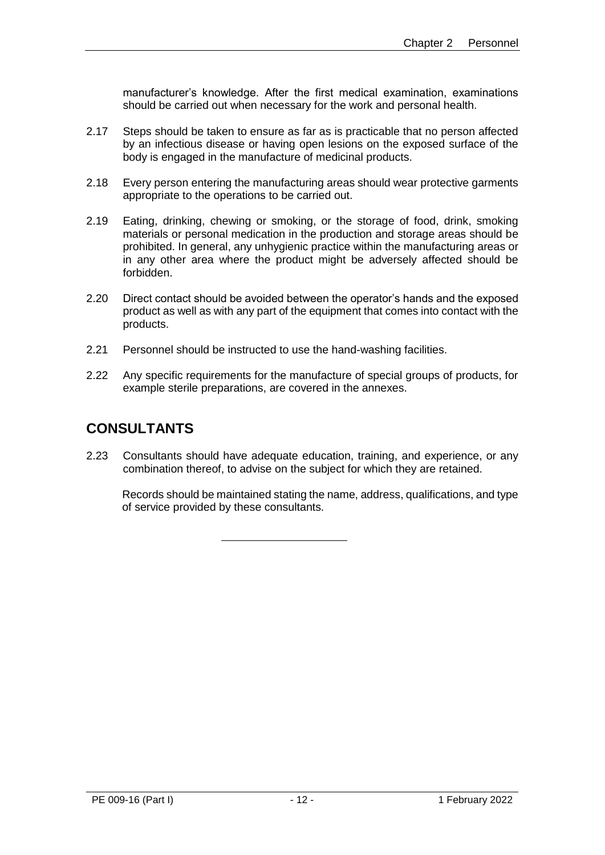manufacturer's knowledge. After the first medical examination, examinations should be carried out when necessary for the work and personal health.

- 2.17 Steps should be taken to ensure as far as is practicable that no person affected by an infectious disease or having open lesions on the exposed surface of the body is engaged in the manufacture of medicinal products.
- 2.18 Every person entering the manufacturing areas should wear protective garments appropriate to the operations to be carried out.
- 2.19 Eating, drinking, chewing or smoking, or the storage of food, drink, smoking materials or personal medication in the production and storage areas should be prohibited. In general, any unhygienic practice within the manufacturing areas or in any other area where the product might be adversely affected should be forbidden.
- 2.20 Direct contact should be avoided between the operator's hands and the exposed product as well as with any part of the equipment that comes into contact with the products.
- 2.21 Personnel should be instructed to use the hand-washing facilities.
- 2.22 Any specific requirements for the manufacture of special groups of products, for example sterile preparations, are covered in the annexes.

#### **CONSULTANTS**

2.23 Consultants should have adequate education, training, and experience, or any combination thereof, to advise on the subject for which they are retained.

Records should be maintained stating the name, address, qualifications, and type of service provided by these consultants.

PE 009-16 (Part I) - 12 - 12 - 12 - 12 - 12 - 1 February 2022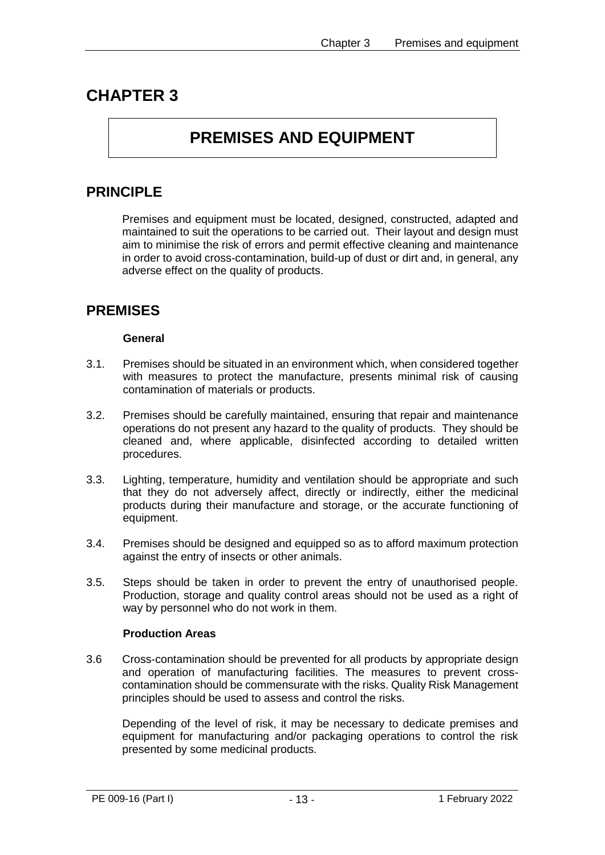## **CHAPTER 3**

## **PREMISES AND EQUIPMENT**

### **PRINCIPLE**

Premises and equipment must be located, designed, constructed, adapted and maintained to suit the operations to be carried out. Their layout and design must aim to minimise the risk of errors and permit effective cleaning and maintenance in order to avoid cross-contamination, build-up of dust or dirt and, in general, any adverse effect on the quality of products.

### **PREMISES**

#### **General**

- 3.1. Premises should be situated in an environment which, when considered together with measures to protect the manufacture, presents minimal risk of causing contamination of materials or products.
- 3.2. Premises should be carefully maintained, ensuring that repair and maintenance operations do not present any hazard to the quality of products. They should be cleaned and, where applicable, disinfected according to detailed written procedures.
- 3.3. Lighting, temperature, humidity and ventilation should be appropriate and such that they do not adversely affect, directly or indirectly, either the medicinal products during their manufacture and storage, or the accurate functioning of equipment.
- 3.4. Premises should be designed and equipped so as to afford maximum protection against the entry of insects or other animals.
- 3.5. Steps should be taken in order to prevent the entry of unauthorised people. Production, storage and quality control areas should not be used as a right of way by personnel who do not work in them.

#### **Production Areas**

3.6 Cross-contamination should be prevented for all products by appropriate design and operation of manufacturing facilities. The measures to prevent crosscontamination should be commensurate with the risks. Quality Risk Management principles should be used to assess and control the risks.

Depending of the level of risk, it may be necessary to dedicate premises and equipment for manufacturing and/or packaging operations to control the risk presented by some medicinal products.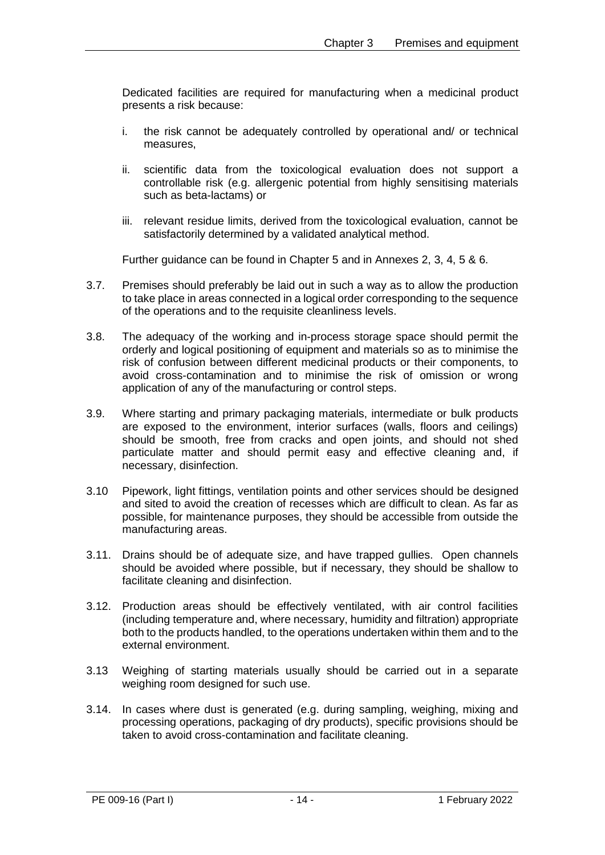Dedicated facilities are required for manufacturing when a medicinal product presents a risk because:

- i. the risk cannot be adequately controlled by operational and/ or technical measures,
- ii. scientific data from the toxicological evaluation does not support a controllable risk (e.g. allergenic potential from highly sensitising materials such as beta-lactams) or
- iii. relevant residue limits, derived from the toxicological evaluation, cannot be satisfactorily determined by a validated analytical method.

Further guidance can be found in Chapter 5 and in Annexes 2, 3, 4, 5 & 6.

- 3.7. Premises should preferably be laid out in such a way as to allow the production to take place in areas connected in a logical order corresponding to the sequence of the operations and to the requisite cleanliness levels.
- 3.8. The adequacy of the working and in-process storage space should permit the orderly and logical positioning of equipment and materials so as to minimise the risk of confusion between different medicinal products or their components, to avoid cross-contamination and to minimise the risk of omission or wrong application of any of the manufacturing or control steps.
- 3.9. Where starting and primary packaging materials, intermediate or bulk products are exposed to the environment, interior surfaces (walls, floors and ceilings) should be smooth, free from cracks and open joints, and should not shed particulate matter and should permit easy and effective cleaning and, if necessary, disinfection.
- 3.10 Pipework, light fittings, ventilation points and other services should be designed and sited to avoid the creation of recesses which are difficult to clean. As far as possible, for maintenance purposes, they should be accessible from outside the manufacturing areas.
- 3.11. Drains should be of adequate size, and have trapped gullies. Open channels should be avoided where possible, but if necessary, they should be shallow to facilitate cleaning and disinfection.
- 3.12. Production areas should be effectively ventilated, with air control facilities (including temperature and, where necessary, humidity and filtration) appropriate both to the products handled, to the operations undertaken within them and to the external environment.
- 3.13 Weighing of starting materials usually should be carried out in a separate weighing room designed for such use.
- 3.14. In cases where dust is generated (e.g. during sampling, weighing, mixing and processing operations, packaging of dry products), specific provisions should be taken to avoid cross-contamination and facilitate cleaning.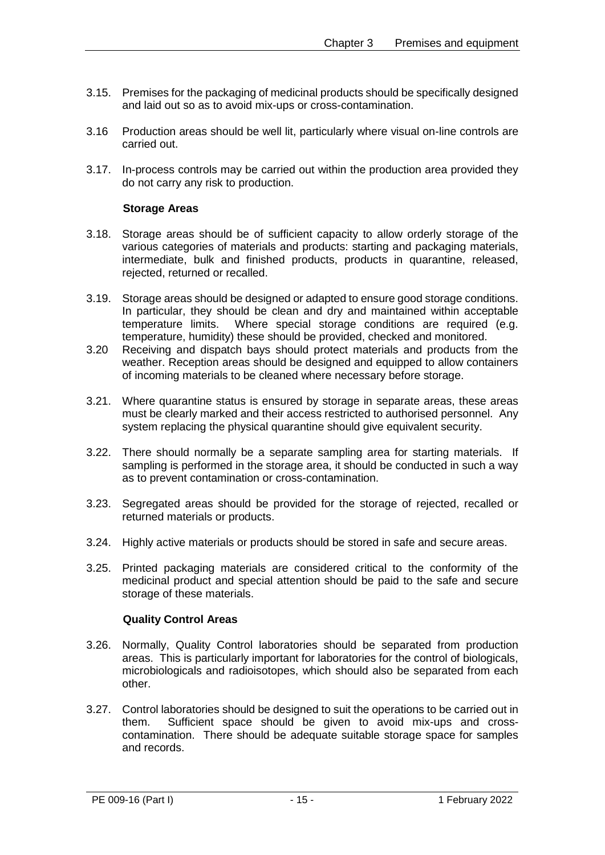- 3.15. Premises for the packaging of medicinal products should be specifically designed and laid out so as to avoid mix-ups or cross-contamination.
- 3.16 Production areas should be well lit, particularly where visual on-line controls are carried out.
- 3.17. In-process controls may be carried out within the production area provided they do not carry any risk to production.

#### **Storage Areas**

- 3.18. Storage areas should be of sufficient capacity to allow orderly storage of the various categories of materials and products: starting and packaging materials, intermediate, bulk and finished products, products in quarantine, released, rejected, returned or recalled.
- 3.19. Storage areas should be designed or adapted to ensure good storage conditions. In particular, they should be clean and dry and maintained within acceptable temperature limits. Where special storage conditions are required (e.g. Where special storage conditions are required (e.g. temperature, humidity) these should be provided, checked and monitored.
- 3.20 Receiving and dispatch bays should protect materials and products from the weather. Reception areas should be designed and equipped to allow containers of incoming materials to be cleaned where necessary before storage.
- 3.21. Where quarantine status is ensured by storage in separate areas, these areas must be clearly marked and their access restricted to authorised personnel. Any system replacing the physical quarantine should give equivalent security.
- 3.22. There should normally be a separate sampling area for starting materials. If sampling is performed in the storage area, it should be conducted in such a way as to prevent contamination or cross-contamination.
- 3.23. Segregated areas should be provided for the storage of rejected, recalled or returned materials or products.
- 3.24. Highly active materials or products should be stored in safe and secure areas.
- 3.25. Printed packaging materials are considered critical to the conformity of the medicinal product and special attention should be paid to the safe and secure storage of these materials.

#### **Quality Control Areas**

- 3.26. Normally, Quality Control laboratories should be separated from production areas. This is particularly important for laboratories for the control of biologicals, microbiologicals and radioisotopes, which should also be separated from each other.
- 3.27. Control laboratories should be designed to suit the operations to be carried out in them. Sufficient space should be given to avoid mix-ups and crosscontamination. There should be adequate suitable storage space for samples and records.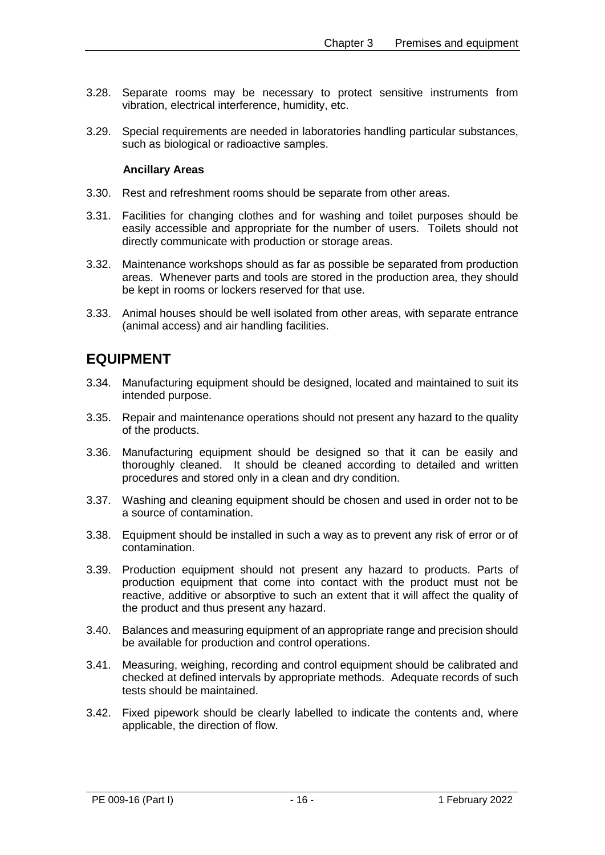- 3.28. Separate rooms may be necessary to protect sensitive instruments from vibration, electrical interference, humidity, etc.
- 3.29. Special requirements are needed in laboratories handling particular substances, such as biological or radioactive samples.

#### **Ancillary Areas**

- 3.30. Rest and refreshment rooms should be separate from other areas.
- 3.31. Facilities for changing clothes and for washing and toilet purposes should be easily accessible and appropriate for the number of users. Toilets should not directly communicate with production or storage areas.
- 3.32. Maintenance workshops should as far as possible be separated from production areas. Whenever parts and tools are stored in the production area, they should be kept in rooms or lockers reserved for that use.
- 3.33. Animal houses should be well isolated from other areas, with separate entrance (animal access) and air handling facilities.

#### **EQUIPMENT**

- 3.34. Manufacturing equipment should be designed, located and maintained to suit its intended purpose.
- 3.35. Repair and maintenance operations should not present any hazard to the quality of the products.
- 3.36. Manufacturing equipment should be designed so that it can be easily and thoroughly cleaned. It should be cleaned according to detailed and written procedures and stored only in a clean and dry condition.
- 3.37. Washing and cleaning equipment should be chosen and used in order not to be a source of contamination.
- 3.38. Equipment should be installed in such a way as to prevent any risk of error or of contamination.
- 3.39. Production equipment should not present any hazard to products. Parts of production equipment that come into contact with the product must not be reactive, additive or absorptive to such an extent that it will affect the quality of the product and thus present any hazard.
- 3.40. Balances and measuring equipment of an appropriate range and precision should be available for production and control operations.
- 3.41. Measuring, weighing, recording and control equipment should be calibrated and checked at defined intervals by appropriate methods. Adequate records of such tests should be maintained.
- 3.42. Fixed pipework should be clearly labelled to indicate the contents and, where applicable, the direction of flow.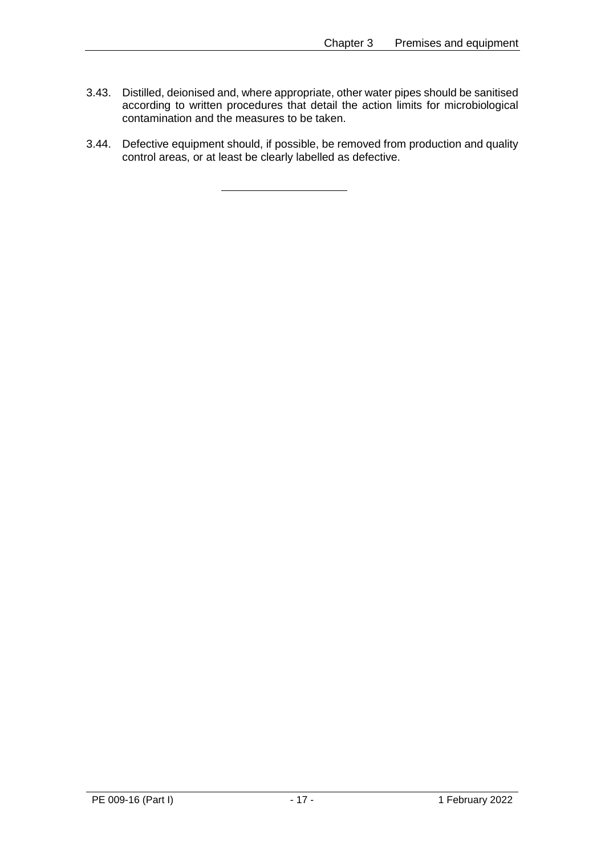- 3.43. Distilled, deionised and, where appropriate, other water pipes should be sanitised according to written procedures that detail the action limits for microbiological contamination and the measures to be taken.
- 3.44. Defective equipment should, if possible, be removed from production and quality control areas, or at least be clearly labelled as defective.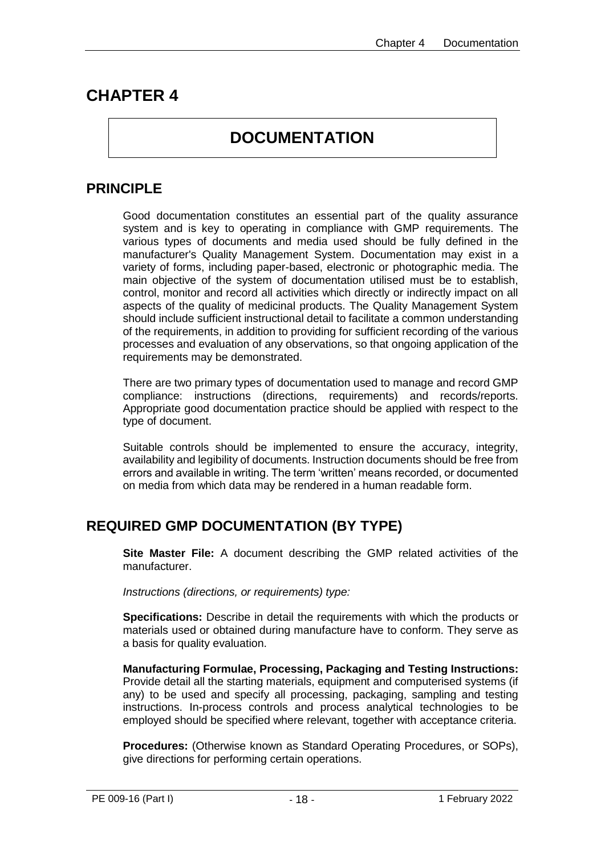## **CHAPTER 4**

## **DOCUMENTATION**

#### **PRINCIPLE**

Good documentation constitutes an essential part of the quality assurance system and is key to operating in compliance with GMP requirements. The various types of documents and media used should be fully defined in the manufacturer's Quality Management System. Documentation may exist in a variety of forms, including paper-based, electronic or photographic media. The main objective of the system of documentation utilised must be to establish, control, monitor and record all activities which directly or indirectly impact on all aspects of the quality of medicinal products. The Quality Management System should include sufficient instructional detail to facilitate a common understanding of the requirements, in addition to providing for sufficient recording of the various processes and evaluation of any observations, so that ongoing application of the requirements may be demonstrated.

There are two primary types of documentation used to manage and record GMP compliance: instructions (directions, requirements) and records/reports. Appropriate good documentation practice should be applied with respect to the type of document.

Suitable controls should be implemented to ensure the accuracy, integrity, availability and legibility of documents. Instruction documents should be free from errors and available in writing. The term 'written' means recorded, or documented on media from which data may be rendered in a human readable form.

### **REQUIRED GMP DOCUMENTATION (BY TYPE)**

**Site Master File:** A document describing the GMP related activities of the manufacturer.

*Instructions (directions, or requirements) type:*

**Specifications:** Describe in detail the requirements with which the products or materials used or obtained during manufacture have to conform. They serve as a basis for quality evaluation.

**Manufacturing Formulae, Processing, Packaging and Testing Instructions:** Provide detail all the starting materials, equipment and computerised systems (if any) to be used and specify all processing, packaging, sampling and testing instructions. In-process controls and process analytical technologies to be employed should be specified where relevant, together with acceptance criteria.

**Procedures:** (Otherwise known as Standard Operating Procedures, or SOPs), give directions for performing certain operations.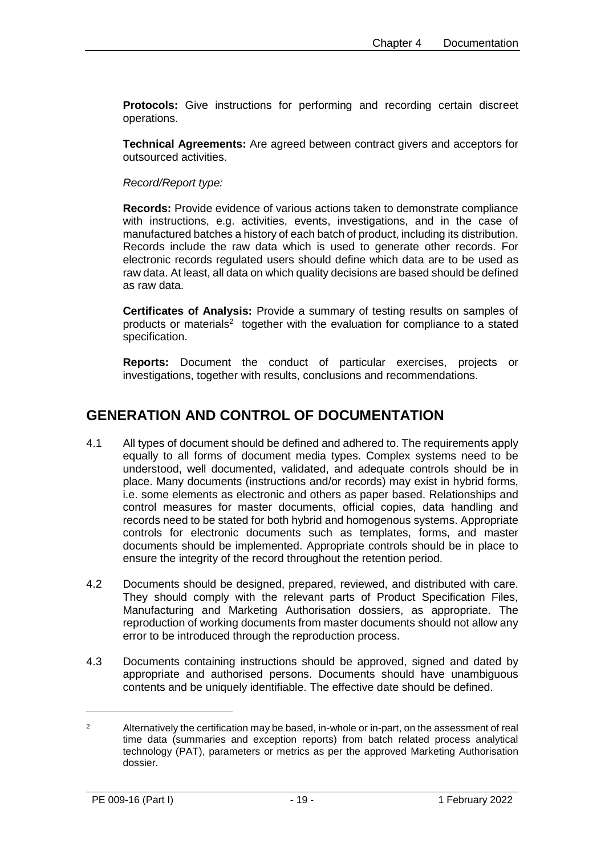**Protocols:** Give instructions for performing and recording certain discreet operations.

**Technical Agreements:** Are agreed between contract givers and acceptors for outsourced activities.

#### *Record/Report type:*

**Records:** Provide evidence of various actions taken to demonstrate compliance with instructions, e.g. activities, events, investigations, and in the case of manufactured batches a history of each batch of product, including its distribution. Records include the raw data which is used to generate other records. For electronic records regulated users should define which data are to be used as raw data. At least, all data on which quality decisions are based should be defined as raw data.

**Certificates of Analysis:** Provide a summary of testing results on samples of products or materials<sup>2</sup> together with the evaluation for compliance to a stated specification.

**Reports:** Document the conduct of particular exercises, projects or investigations, together with results, conclusions and recommendations.

#### **GENERATION AND CONTROL OF DOCUMENTATION**

- 4.1 All types of document should be defined and adhered to. The requirements apply equally to all forms of document media types. Complex systems need to be understood, well documented, validated, and adequate controls should be in place. Many documents (instructions and/or records) may exist in hybrid forms, i.e. some elements as electronic and others as paper based. Relationships and control measures for master documents, official copies, data handling and records need to be stated for both hybrid and homogenous systems. Appropriate controls for electronic documents such as templates, forms, and master documents should be implemented. Appropriate controls should be in place to ensure the integrity of the record throughout the retention period.
- 4.2 Documents should be designed, prepared, reviewed, and distributed with care. They should comply with the relevant parts of Product Specification Files, Manufacturing and Marketing Authorisation dossiers, as appropriate. The reproduction of working documents from master documents should not allow any error to be introduced through the reproduction process.
- 4.3 Documents containing instructions should be approved, signed and dated by appropriate and authorised persons. Documents should have unambiguous contents and be uniquely identifiable. The effective date should be defined.

 $\overline{a}$ 

<sup>&</sup>lt;sup>2</sup> Alternatively the certification may be based, in-whole or in-part, on the assessment of real time data (summaries and exception reports) from batch related process analytical technology (PAT), parameters or metrics as per the approved Marketing Authorisation dossier.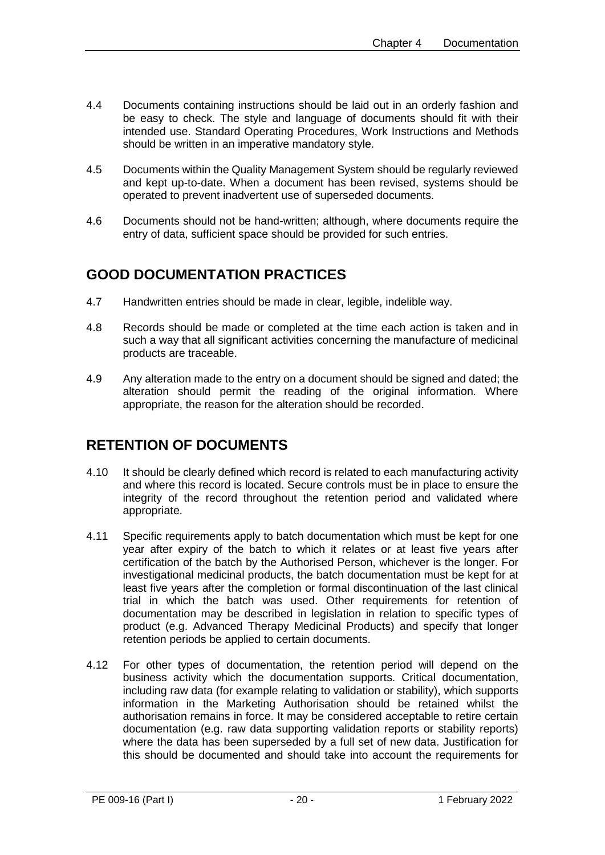- 4.4 Documents containing instructions should be laid out in an orderly fashion and be easy to check. The style and language of documents should fit with their intended use. Standard Operating Procedures, Work Instructions and Methods should be written in an imperative mandatory style.
- 4.5 Documents within the Quality Management System should be regularly reviewed and kept up-to-date. When a document has been revised, systems should be operated to prevent inadvertent use of superseded documents.
- 4.6 Documents should not be hand-written; although, where documents require the entry of data, sufficient space should be provided for such entries.

#### **GOOD DOCUMENTATION PRACTICES**

- 4.7 Handwritten entries should be made in clear, legible, indelible way.
- 4.8 Records should be made or completed at the time each action is taken and in such a way that all significant activities concerning the manufacture of medicinal products are traceable.
- 4.9 Any alteration made to the entry on a document should be signed and dated; the alteration should permit the reading of the original information. Where appropriate, the reason for the alteration should be recorded.

#### **RETENTION OF DOCUMENTS**

- 4.10 It should be clearly defined which record is related to each manufacturing activity and where this record is located. Secure controls must be in place to ensure the integrity of the record throughout the retention period and validated where appropriate.
- 4.11 Specific requirements apply to batch documentation which must be kept for one year after expiry of the batch to which it relates or at least five years after certification of the batch by the Authorised Person, whichever is the longer. For investigational medicinal products, the batch documentation must be kept for at least five years after the completion or formal discontinuation of the last clinical trial in which the batch was used. Other requirements for retention of documentation may be described in legislation in relation to specific types of product (e.g. Advanced Therapy Medicinal Products) and specify that longer retention periods be applied to certain documents.
- 4.12 For other types of documentation, the retention period will depend on the business activity which the documentation supports. Critical documentation, including raw data (for example relating to validation or stability), which supports information in the Marketing Authorisation should be retained whilst the authorisation remains in force. It may be considered acceptable to retire certain documentation (e.g. raw data supporting validation reports or stability reports) where the data has been superseded by a full set of new data. Justification for this should be documented and should take into account the requirements for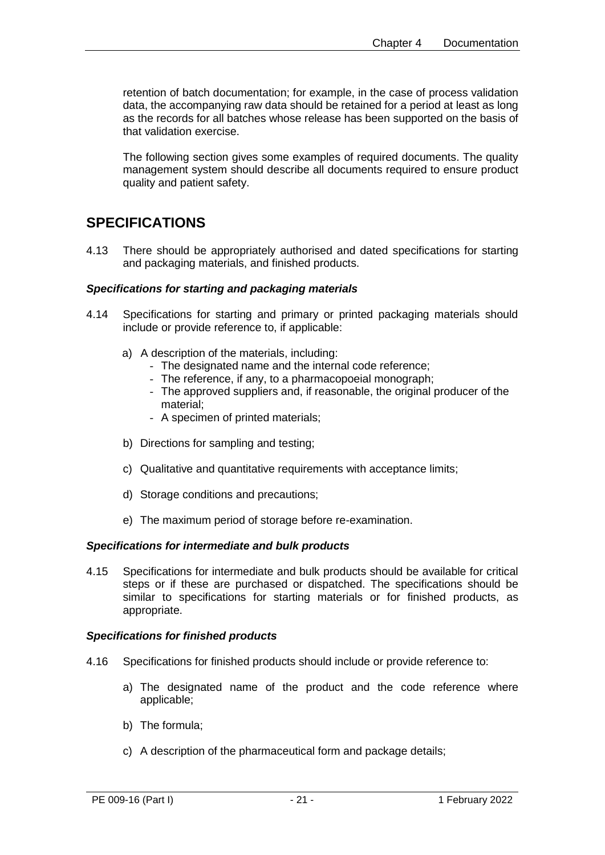retention of batch documentation; for example, in the case of process validation data, the accompanying raw data should be retained for a period at least as long as the records for all batches whose release has been supported on the basis of that validation exercise.

The following section gives some examples of required documents. The quality management system should describe all documents required to ensure product quality and patient safety.

### **SPECIFICATIONS**

4.13 There should be appropriately authorised and dated specifications for starting and packaging materials, and finished products.

#### *Specifications for starting and packaging materials*

- 4.14 Specifications for starting and primary or printed packaging materials should include or provide reference to, if applicable:
	- a) A description of the materials, including:
		- The designated name and the internal code reference;
		- The reference, if any, to a pharmacopoeial monograph;
		- The approved suppliers and, if reasonable, the original producer of the material;
		- A specimen of printed materials;
	- b) Directions for sampling and testing;
	- c) Qualitative and quantitative requirements with acceptance limits;
	- d) Storage conditions and precautions;
	- e) The maximum period of storage before re-examination.

#### *Specifications for intermediate and bulk products*

4.15 Specifications for intermediate and bulk products should be available for critical steps or if these are purchased or dispatched. The specifications should be similar to specifications for starting materials or for finished products, as appropriate.

#### *Specifications for finished products*

- 4.16 Specifications for finished products should include or provide reference to:
	- a) The designated name of the product and the code reference where applicable;
	- b) The formula;
	- c) A description of the pharmaceutical form and package details;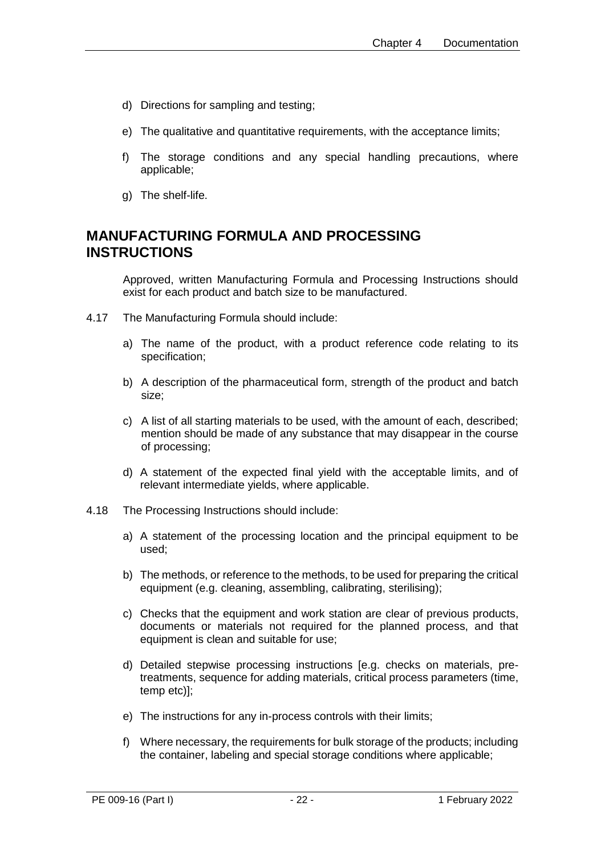- d) Directions for sampling and testing;
- e) The qualitative and quantitative requirements, with the acceptance limits;
- f) The storage conditions and any special handling precautions, where applicable;
- g) The shelf-life.

#### **MANUFACTURING FORMULA AND PROCESSING INSTRUCTIONS**

Approved, written Manufacturing Formula and Processing Instructions should exist for each product and batch size to be manufactured.

- 4.17 The Manufacturing Formula should include:
	- a) The name of the product, with a product reference code relating to its specification;
	- b) A description of the pharmaceutical form, strength of the product and batch size;
	- c) A list of all starting materials to be used, with the amount of each, described; mention should be made of any substance that may disappear in the course of processing;
	- d) A statement of the expected final yield with the acceptable limits, and of relevant intermediate yields, where applicable.
- 4.18 The Processing Instructions should include:
	- a) A statement of the processing location and the principal equipment to be used;
	- b) The methods, or reference to the methods, to be used for preparing the critical equipment (e.g. cleaning, assembling, calibrating, sterilising);
	- c) Checks that the equipment and work station are clear of previous products, documents or materials not required for the planned process, and that equipment is clean and suitable for use;
	- d) Detailed stepwise processing instructions [e.g. checks on materials, pretreatments, sequence for adding materials, critical process parameters (time, temp etc)];
	- e) The instructions for any in-process controls with their limits;
	- f) Where necessary, the requirements for bulk storage of the products; including the container, labeling and special storage conditions where applicable;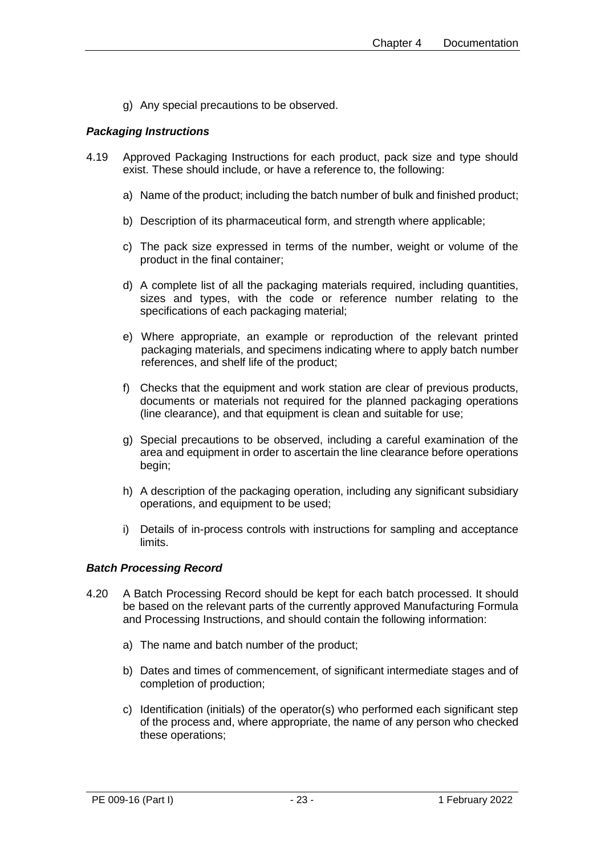g) Any special precautions to be observed.

#### *Packaging Instructions*

- 4.19 Approved Packaging Instructions for each product, pack size and type should exist. These should include, or have a reference to, the following:
	- a) Name of the product; including the batch number of bulk and finished product;
	- b) Description of its pharmaceutical form, and strength where applicable;
	- c) The pack size expressed in terms of the number, weight or volume of the product in the final container;
	- d) A complete list of all the packaging materials required, including quantities, sizes and types, with the code or reference number relating to the specifications of each packaging material;
	- e) Where appropriate, an example or reproduction of the relevant printed packaging materials, and specimens indicating where to apply batch number references, and shelf life of the product;
	- f) Checks that the equipment and work station are clear of previous products, documents or materials not required for the planned packaging operations (line clearance), and that equipment is clean and suitable for use;
	- g) Special precautions to be observed, including a careful examination of the area and equipment in order to ascertain the line clearance before operations begin;
	- h) A description of the packaging operation, including any significant subsidiary operations, and equipment to be used;
	- i) Details of in-process controls with instructions for sampling and acceptance limits.

#### *Batch Processing Record*

- 4.20 A Batch Processing Record should be kept for each batch processed. It should be based on the relevant parts of the currently approved Manufacturing Formula and Processing Instructions, and should contain the following information:
	- a) The name and batch number of the product;
	- b) Dates and times of commencement, of significant intermediate stages and of completion of production;
	- c) Identification (initials) of the operator(s) who performed each significant step of the process and, where appropriate, the name of any person who checked these operations;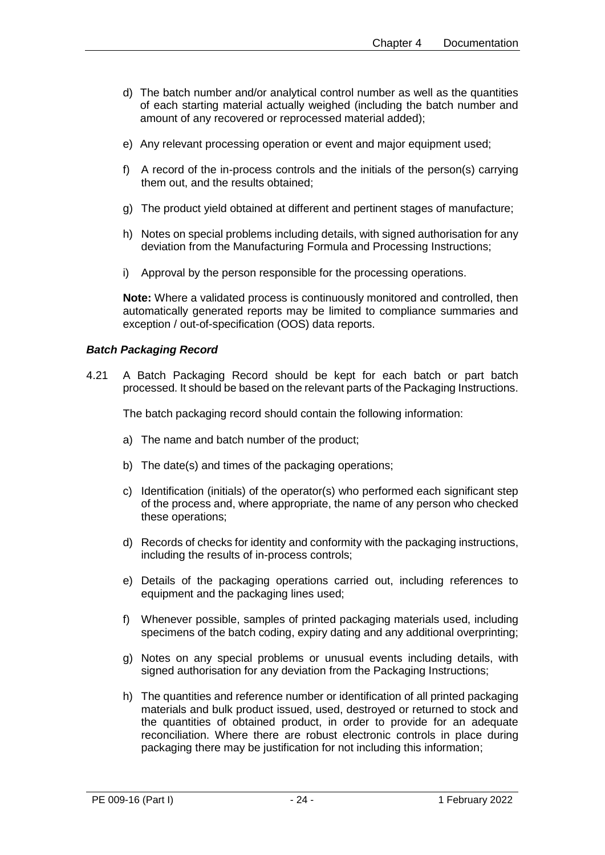- d) The batch number and/or analytical control number as well as the quantities of each starting material actually weighed (including the batch number and amount of any recovered or reprocessed material added);
- e) Any relevant processing operation or event and major equipment used;
- f) A record of the in-process controls and the initials of the person(s) carrying them out, and the results obtained;
- g) The product yield obtained at different and pertinent stages of manufacture;
- h) Notes on special problems including details, with signed authorisation for any deviation from the Manufacturing Formula and Processing Instructions;
- i) Approval by the person responsible for the processing operations.

**Note:** Where a validated process is continuously monitored and controlled, then automatically generated reports may be limited to compliance summaries and exception / out-of-specification (OOS) data reports.

#### *Batch Packaging Record*

4.21 A Batch Packaging Record should be kept for each batch or part batch processed. It should be based on the relevant parts of the Packaging Instructions.

The batch packaging record should contain the following information:

- a) The name and batch number of the product;
- b) The date(s) and times of the packaging operations;
- c) Identification (initials) of the operator(s) who performed each significant step of the process and, where appropriate, the name of any person who checked these operations;
- d) Records of checks for identity and conformity with the packaging instructions, including the results of in-process controls;
- e) Details of the packaging operations carried out, including references to equipment and the packaging lines used;
- f) Whenever possible, samples of printed packaging materials used, including specimens of the batch coding, expiry dating and any additional overprinting;
- g) Notes on any special problems or unusual events including details, with signed authorisation for any deviation from the Packaging Instructions;
- h) The quantities and reference number or identification of all printed packaging materials and bulk product issued, used, destroyed or returned to stock and the quantities of obtained product, in order to provide for an adequate reconciliation. Where there are robust electronic controls in place during packaging there may be justification for not including this information;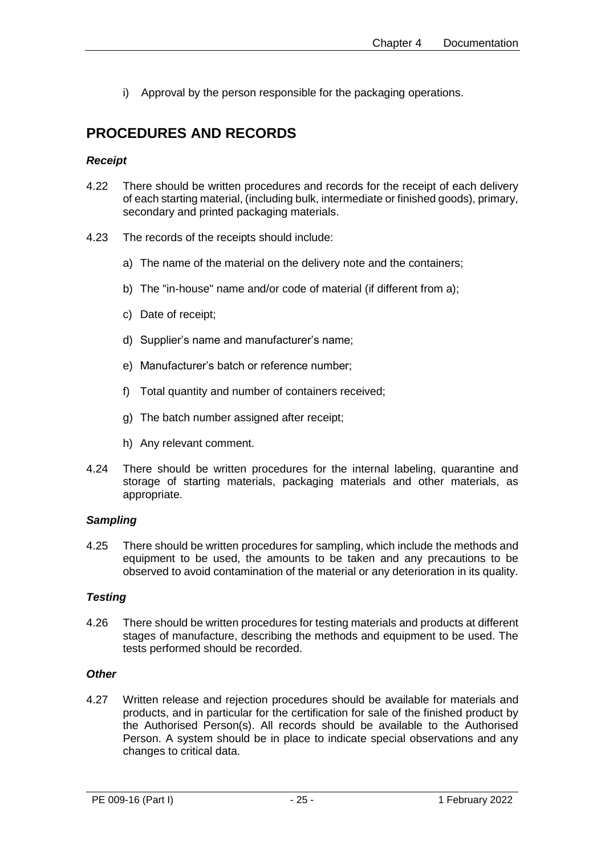i) Approval by the person responsible for the packaging operations.

#### **PROCEDURES AND RECORDS**

#### *Receipt*

- 4.22 There should be written procedures and records for the receipt of each delivery of each starting material, (including bulk, intermediate or finished goods), primary, secondary and printed packaging materials.
- 4.23 The records of the receipts should include:
	- a) The name of the material on the delivery note and the containers;
	- b) The "in-house" name and/or code of material (if different from a);
	- c) Date of receipt;
	- d) Supplier's name and manufacturer's name;
	- e) Manufacturer's batch or reference number;
	- f) Total quantity and number of containers received;
	- g) The batch number assigned after receipt;
	- h) Any relevant comment.
- 4.24 There should be written procedures for the internal labeling, quarantine and storage of starting materials, packaging materials and other materials, as appropriate.

#### *Sampling*

4.25 There should be written procedures for sampling, which include the methods and equipment to be used, the amounts to be taken and any precautions to be observed to avoid contamination of the material or any deterioration in its quality.

#### *Testing*

4.26 There should be written procedures for testing materials and products at different stages of manufacture, describing the methods and equipment to be used. The tests performed should be recorded.

#### *Other*

4.27 Written release and rejection procedures should be available for materials and products, and in particular for the certification for sale of the finished product by the Authorised Person(s). All records should be available to the Authorised Person. A system should be in place to indicate special observations and any changes to critical data.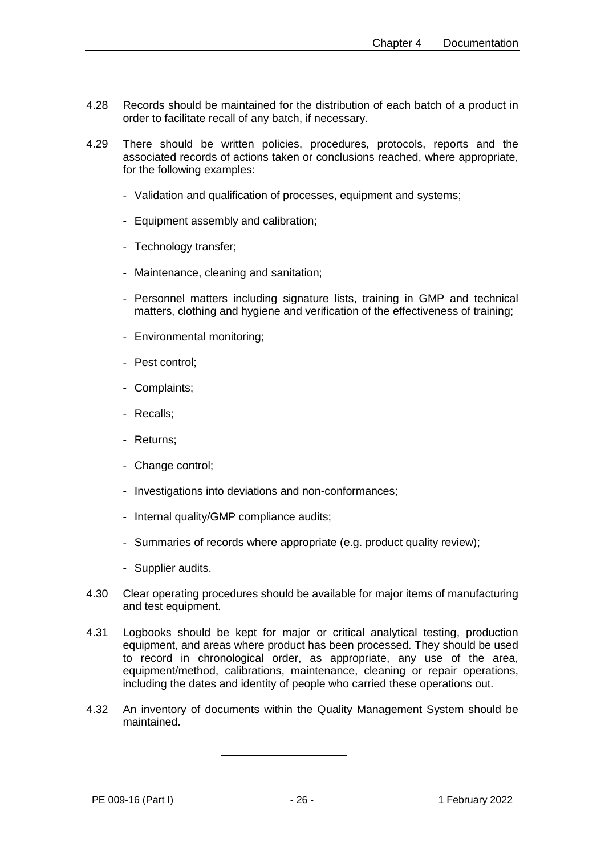- 4.28 Records should be maintained for the distribution of each batch of a product in order to facilitate recall of any batch, if necessary.
- 4.29 There should be written policies, procedures, protocols, reports and the associated records of actions taken or conclusions reached, where appropriate, for the following examples:
	- Validation and qualification of processes, equipment and systems;
	- Equipment assembly and calibration;
	- Technology transfer;
	- Maintenance, cleaning and sanitation;
	- Personnel matters including signature lists, training in GMP and technical matters, clothing and hygiene and verification of the effectiveness of training;
	- Environmental monitoring;
	- Pest control;
	- Complaints;
	- Recalls;
	- Returns;
	- Change control;
	- Investigations into deviations and non-conformances;
	- Internal quality/GMP compliance audits;
	- Summaries of records where appropriate (e.g. product quality review);
	- Supplier audits.
- 4.30 Clear operating procedures should be available for major items of manufacturing and test equipment.
- 4.31 Logbooks should be kept for major or critical analytical testing, production equipment, and areas where product has been processed. They should be used to record in chronological order, as appropriate, any use of the area, equipment/method, calibrations, maintenance, cleaning or repair operations, including the dates and identity of people who carried these operations out.
- 4.32 An inventory of documents within the Quality Management System should be maintained.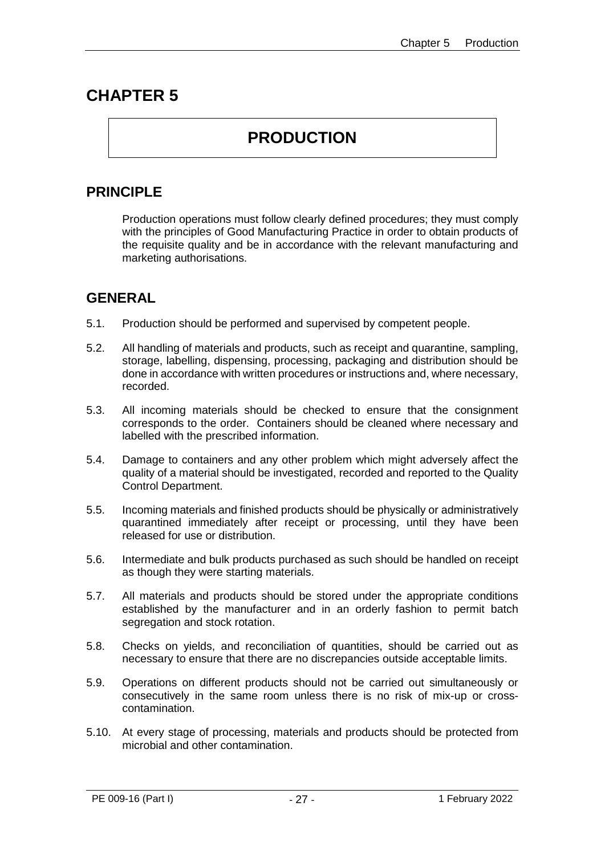## **CHAPTER 5**

## **PRODUCTION**

#### **PRINCIPLE**

Production operations must follow clearly defined procedures; they must comply with the principles of Good Manufacturing Practice in order to obtain products of the requisite quality and be in accordance with the relevant manufacturing and marketing authorisations.

### **GENERAL**

- 5.1. Production should be performed and supervised by competent people.
- 5.2. All handling of materials and products, such as receipt and quarantine, sampling, storage, labelling, dispensing, processing, packaging and distribution should be done in accordance with written procedures or instructions and, where necessary, recorded.
- 5.3. All incoming materials should be checked to ensure that the consignment corresponds to the order. Containers should be cleaned where necessary and labelled with the prescribed information.
- 5.4. Damage to containers and any other problem which might adversely affect the quality of a material should be investigated, recorded and reported to the Quality Control Department.
- 5.5. Incoming materials and finished products should be physically or administratively quarantined immediately after receipt or processing, until they have been released for use or distribution.
- 5.6. Intermediate and bulk products purchased as such should be handled on receipt as though they were starting materials.
- 5.7. All materials and products should be stored under the appropriate conditions established by the manufacturer and in an orderly fashion to permit batch segregation and stock rotation.
- 5.8. Checks on yields, and reconciliation of quantities, should be carried out as necessary to ensure that there are no discrepancies outside acceptable limits.
- 5.9. Operations on different products should not be carried out simultaneously or consecutively in the same room unless there is no risk of mix-up or crosscontamination.
- 5.10. At every stage of processing, materials and products should be protected from microbial and other contamination.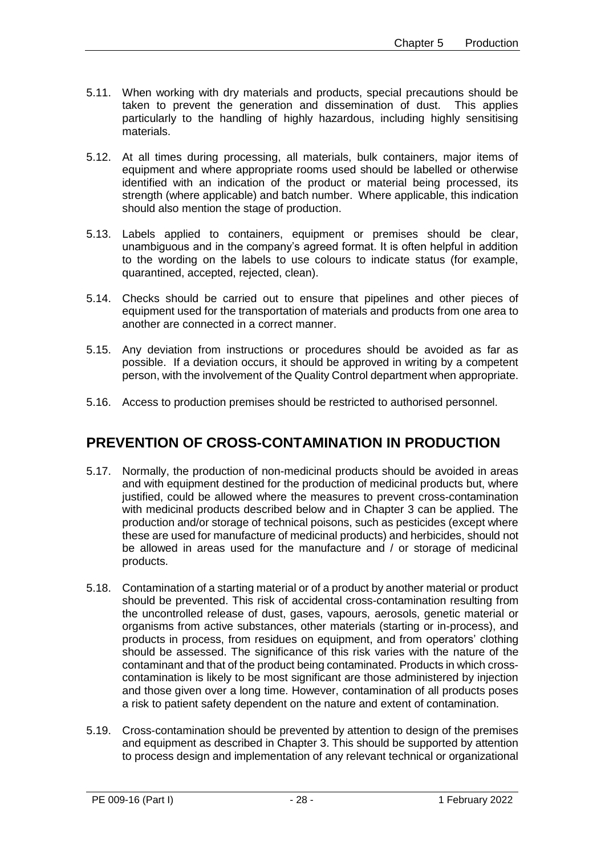- 5.11. When working with dry materials and products, special precautions should be taken to prevent the generation and dissemination of dust. This applies particularly to the handling of highly hazardous, including highly sensitising materials.
- 5.12. At all times during processing, all materials, bulk containers, major items of equipment and where appropriate rooms used should be labelled or otherwise identified with an indication of the product or material being processed, its strength (where applicable) and batch number. Where applicable, this indication should also mention the stage of production.
- 5.13. Labels applied to containers, equipment or premises should be clear, unambiguous and in the company's agreed format. It is often helpful in addition to the wording on the labels to use colours to indicate status (for example, quarantined, accepted, rejected, clean).
- 5.14. Checks should be carried out to ensure that pipelines and other pieces of equipment used for the transportation of materials and products from one area to another are connected in a correct manner.
- 5.15. Any deviation from instructions or procedures should be avoided as far as possible. If a deviation occurs, it should be approved in writing by a competent person, with the involvement of the Quality Control department when appropriate.
- 5.16. Access to production premises should be restricted to authorised personnel.

#### **PREVENTION OF CROSS-CONTAMINATION IN PRODUCTION**

- 5.17. Normally, the production of non-medicinal products should be avoided in areas and with equipment destined for the production of medicinal products but, where justified, could be allowed where the measures to prevent cross-contamination with medicinal products described below and in Chapter 3 can be applied. The production and/or storage of technical poisons, such as pesticides (except where these are used for manufacture of medicinal products) and herbicides, should not be allowed in areas used for the manufacture and / or storage of medicinal products.
- 5.18. Contamination of a starting material or of a product by another material or product should be prevented. This risk of accidental cross-contamination resulting from the uncontrolled release of dust, gases, vapours, aerosols, genetic material or organisms from active substances, other materials (starting or in-process), and products in process, from residues on equipment, and from operators' clothing should be assessed. The significance of this risk varies with the nature of the contaminant and that of the product being contaminated. Products in which crosscontamination is likely to be most significant are those administered by injection and those given over a long time. However, contamination of all products poses a risk to patient safety dependent on the nature and extent of contamination.
- 5.19. Cross-contamination should be prevented by attention to design of the premises and equipment as described in Chapter 3. This should be supported by attention to process design and implementation of any relevant technical or organizational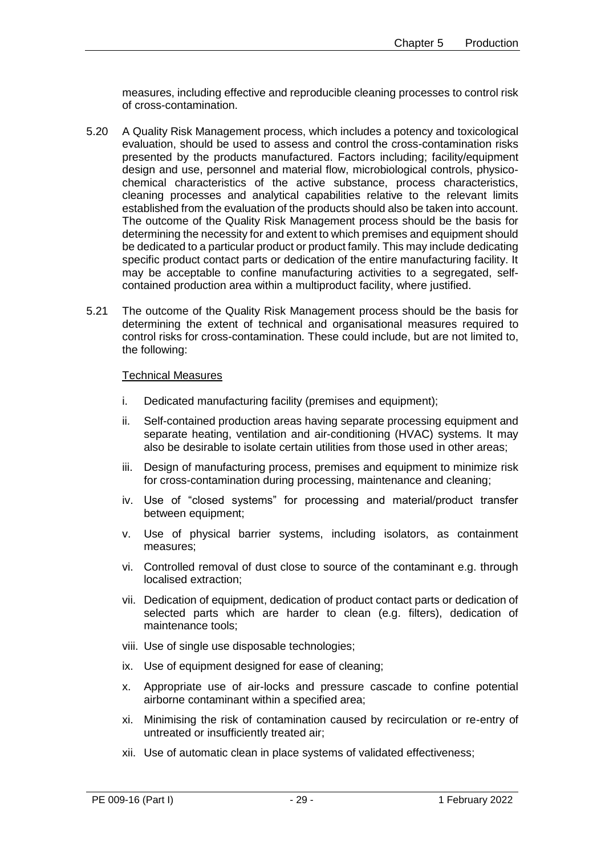measures, including effective and reproducible cleaning processes to control risk of cross-contamination.

- 5.20 A Quality Risk Management process, which includes a potency and toxicological evaluation, should be used to assess and control the cross-contamination risks presented by the products manufactured. Factors including; facility/equipment design and use, personnel and material flow, microbiological controls, physicochemical characteristics of the active substance, process characteristics, cleaning processes and analytical capabilities relative to the relevant limits established from the evaluation of the products should also be taken into account. The outcome of the Quality Risk Management process should be the basis for determining the necessity for and extent to which premises and equipment should be dedicated to a particular product or product family. This may include dedicating specific product contact parts or dedication of the entire manufacturing facility. It may be acceptable to confine manufacturing activities to a segregated, selfcontained production area within a multiproduct facility, where justified.
- 5.21 The outcome of the Quality Risk Management process should be the basis for determining the extent of technical and organisational measures required to control risks for cross-contamination. These could include, but are not limited to, the following:

#### Technical Measures

- i. Dedicated manufacturing facility (premises and equipment);
- ii. Self-contained production areas having separate processing equipment and separate heating, ventilation and air-conditioning (HVAC) systems. It may also be desirable to isolate certain utilities from those used in other areas;
- iii. Design of manufacturing process, premises and equipment to minimize risk for cross-contamination during processing, maintenance and cleaning;
- iv. Use of "closed systems" for processing and material/product transfer between equipment;
- v. Use of physical barrier systems, including isolators, as containment measures;
- vi. Controlled removal of dust close to source of the contaminant e.g. through localised extraction;
- vii. Dedication of equipment, dedication of product contact parts or dedication of selected parts which are harder to clean (e.g. filters), dedication of maintenance tools;
- viii. Use of single use disposable technologies;
- ix. Use of equipment designed for ease of cleaning;
- x. Appropriate use of air-locks and pressure cascade to confine potential airborne contaminant within a specified area;
- xi. Minimising the risk of contamination caused by recirculation or re-entry of untreated or insufficiently treated air;
- xii. Use of automatic clean in place systems of validated effectiveness;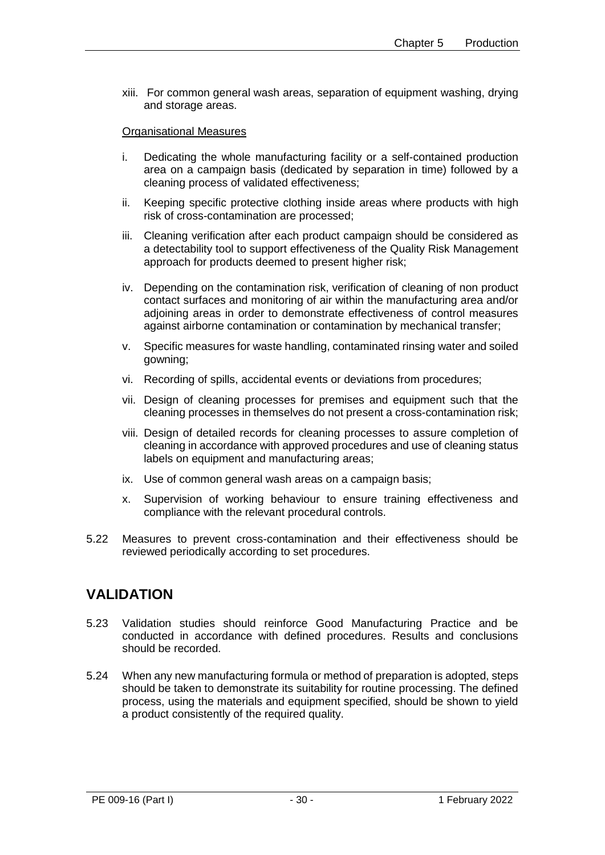xiii. For common general wash areas, separation of equipment washing, drying and storage areas.

#### Organisational Measures

- i. Dedicating the whole manufacturing facility or a self-contained production area on a campaign basis (dedicated by separation in time) followed by a cleaning process of validated effectiveness;
- ii. Keeping specific protective clothing inside areas where products with high risk of cross-contamination are processed;
- iii. Cleaning verification after each product campaign should be considered as a detectability tool to support effectiveness of the Quality Risk Management approach for products deemed to present higher risk;
- iv. Depending on the contamination risk, verification of cleaning of non product contact surfaces and monitoring of air within the manufacturing area and/or adjoining areas in order to demonstrate effectiveness of control measures against airborne contamination or contamination by mechanical transfer;
- v. Specific measures for waste handling, contaminated rinsing water and soiled gowning;
- vi. Recording of spills, accidental events or deviations from procedures;
- vii. Design of cleaning processes for premises and equipment such that the cleaning processes in themselves do not present a cross-contamination risk;
- viii. Design of detailed records for cleaning processes to assure completion of cleaning in accordance with approved procedures and use of cleaning status labels on equipment and manufacturing areas;
- ix. Use of common general wash areas on a campaign basis;
- x. Supervision of working behaviour to ensure training effectiveness and compliance with the relevant procedural controls.
- 5.22 Measures to prevent cross-contamination and their effectiveness should be reviewed periodically according to set procedures.

### **VALIDATION**

- 5.23 Validation studies should reinforce Good Manufacturing Practice and be conducted in accordance with defined procedures. Results and conclusions should be recorded.
- 5.24 When any new manufacturing formula or method of preparation is adopted, steps should be taken to demonstrate its suitability for routine processing. The defined process, using the materials and equipment specified, should be shown to yield a product consistently of the required quality.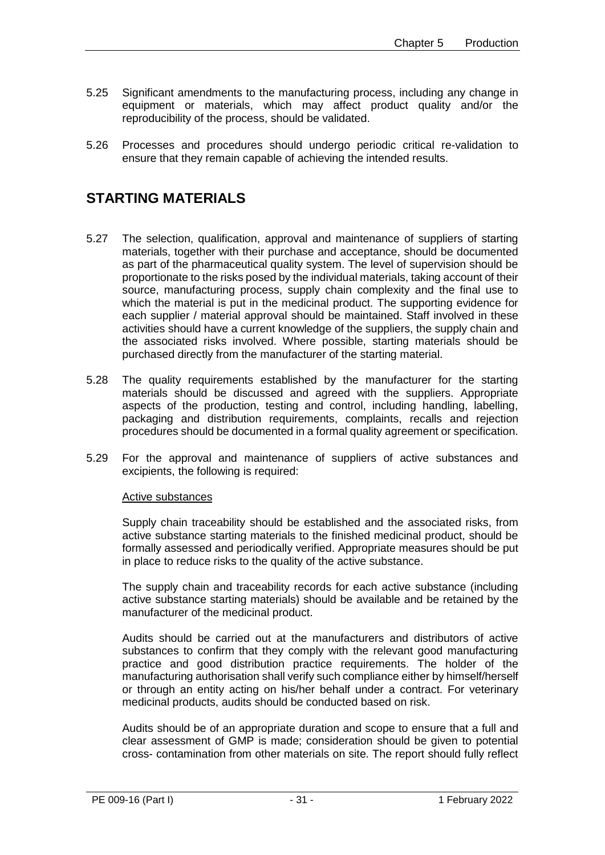- 5.25 Significant amendments to the manufacturing process, including any change in equipment or materials, which may affect product quality and/or the reproducibility of the process, should be validated.
- 5.26 Processes and procedures should undergo periodic critical re-validation to ensure that they remain capable of achieving the intended results.

### **STARTING MATERIALS**

- 5.27 The selection, qualification, approval and maintenance of suppliers of starting materials, together with their purchase and acceptance, should be documented as part of the pharmaceutical quality system. The level of supervision should be proportionate to the risks posed by the individual materials, taking account of their source, manufacturing process, supply chain complexity and the final use to which the material is put in the medicinal product. The supporting evidence for each supplier / material approval should be maintained. Staff involved in these activities should have a current knowledge of the suppliers, the supply chain and the associated risks involved. Where possible, starting materials should be purchased directly from the manufacturer of the starting material.
- 5.28 The quality requirements established by the manufacturer for the starting materials should be discussed and agreed with the suppliers. Appropriate aspects of the production, testing and control, including handling, labelling, packaging and distribution requirements, complaints, recalls and rejection procedures should be documented in a formal quality agreement or specification.
- 5.29 For the approval and maintenance of suppliers of active substances and excipients, the following is required:

#### Active substances

Supply chain traceability should be established and the associated risks, from active substance starting materials to the finished medicinal product, should be formally assessed and periodically verified. Appropriate measures should be put in place to reduce risks to the quality of the active substance.

The supply chain and traceability records for each active substance (including active substance starting materials) should be available and be retained by the manufacturer of the medicinal product.

Audits should be carried out at the manufacturers and distributors of active substances to confirm that they comply with the relevant good manufacturing practice and good distribution practice requirements. The holder of the manufacturing authorisation shall verify such compliance either by himself/herself or through an entity acting on his/her behalf under a contract. For veterinary medicinal products, audits should be conducted based on risk.

Audits should be of an appropriate duration and scope to ensure that a full and clear assessment of GMP is made; consideration should be given to potential cross- contamination from other materials on site. The report should fully reflect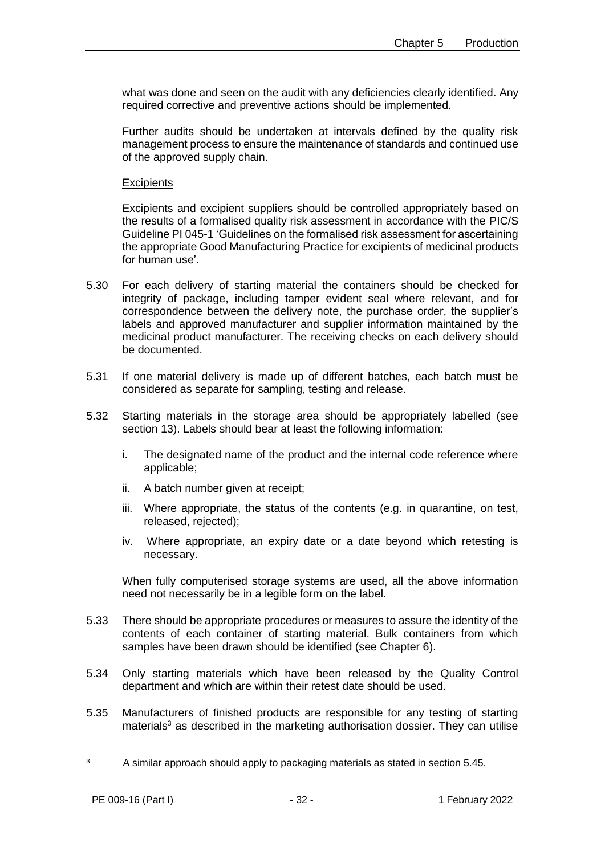what was done and seen on the audit with any deficiencies clearly identified. Any required corrective and preventive actions should be implemented.

Further audits should be undertaken at intervals defined by the quality risk management process to ensure the maintenance of standards and continued use of the approved supply chain.

#### **Excipients**

Excipients and excipient suppliers should be controlled appropriately based on the results of a formalised quality risk assessment in accordance with the PIC/S Guideline PI 045-1 'Guidelines on the formalised risk assessment for ascertaining the appropriate Good Manufacturing Practice for excipients of medicinal products for human use'.

- 5.30 For each delivery of starting material the containers should be checked for integrity of package, including tamper evident seal where relevant, and for correspondence between the delivery note, the purchase order, the supplier's labels and approved manufacturer and supplier information maintained by the medicinal product manufacturer. The receiving checks on each delivery should be documented.
- 5.31 If one material delivery is made up of different batches, each batch must be considered as separate for sampling, testing and release.
- 5.32 Starting materials in the storage area should be appropriately labelled (see section 13). Labels should bear at least the following information:
	- i. The designated name of the product and the internal code reference where applicable;
	- ii. A batch number given at receipt;
	- iii. Where appropriate, the status of the contents (e.g. in quarantine, on test, released, rejected);
	- iv. Where appropriate, an expiry date or a date beyond which retesting is necessary.

When fully computerised storage systems are used, all the above information need not necessarily be in a legible form on the label.

- 5.33 There should be appropriate procedures or measures to assure the identity of the contents of each container of starting material. Bulk containers from which samples have been drawn should be identified (see Chapter 6).
- 5.34 Only starting materials which have been released by the Quality Control department and which are within their retest date should be used.
- 5.35 Manufacturers of finished products are responsible for any testing of starting materials<sup>3</sup> as described in the marketing authorisation dossier. They can utilise

 $\overline{a}$ 

 $3 \text{ A similar approach should apply to packaging materials as stated in section 5.45.}$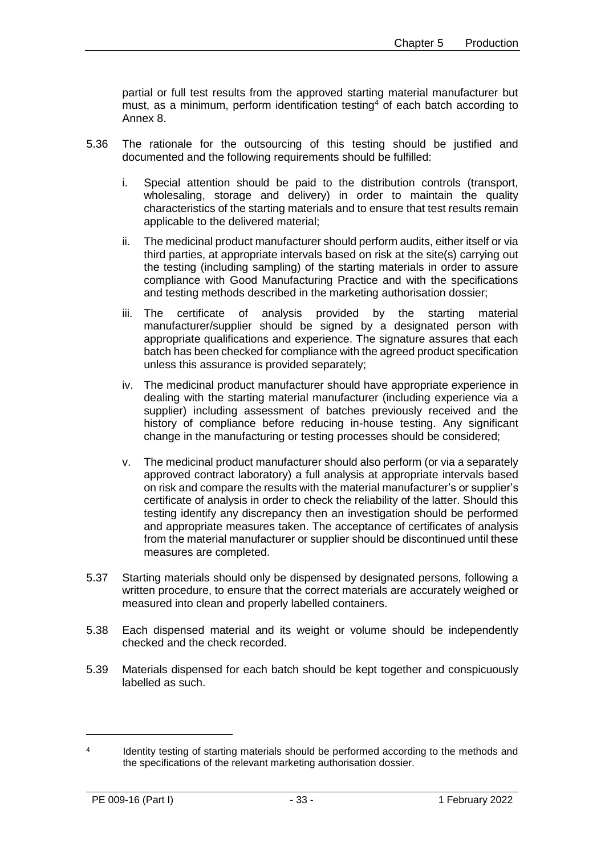partial or full test results from the approved starting material manufacturer but must, as a minimum, perform identification testing<sup>4</sup> of each batch according to Annex 8.

- 5.36 The rationale for the outsourcing of this testing should be justified and documented and the following requirements should be fulfilled:
	- i. Special attention should be paid to the distribution controls (transport, wholesaling, storage and delivery) in order to maintain the quality characteristics of the starting materials and to ensure that test results remain applicable to the delivered material;
	- ii. The medicinal product manufacturer should perform audits, either itself or via third parties, at appropriate intervals based on risk at the site(s) carrying out the testing (including sampling) of the starting materials in order to assure compliance with Good Manufacturing Practice and with the specifications and testing methods described in the marketing authorisation dossier;
	- iii. The certificate of analysis provided by the starting material manufacturer/supplier should be signed by a designated person with appropriate qualifications and experience. The signature assures that each batch has been checked for compliance with the agreed product specification unless this assurance is provided separately;
	- iv. The medicinal product manufacturer should have appropriate experience in dealing with the starting material manufacturer (including experience via a supplier) including assessment of batches previously received and the history of compliance before reducing in-house testing. Any significant change in the manufacturing or testing processes should be considered;
	- v. The medicinal product manufacturer should also perform (or via a separately approved contract laboratory) a full analysis at appropriate intervals based on risk and compare the results with the material manufacturer's or supplier's certificate of analysis in order to check the reliability of the latter. Should this testing identify any discrepancy then an investigation should be performed and appropriate measures taken. The acceptance of certificates of analysis from the material manufacturer or supplier should be discontinued until these measures are completed.
- 5.37 Starting materials should only be dispensed by designated persons, following a written procedure, to ensure that the correct materials are accurately weighed or measured into clean and properly labelled containers.
- 5.38 Each dispensed material and its weight or volume should be independently checked and the check recorded.
- 5.39 Materials dispensed for each batch should be kept together and conspicuously labelled as such.

<sup>4</sup> Identity testing of starting materials should be performed according to the methods and the specifications of the relevant marketing authorisation dossier.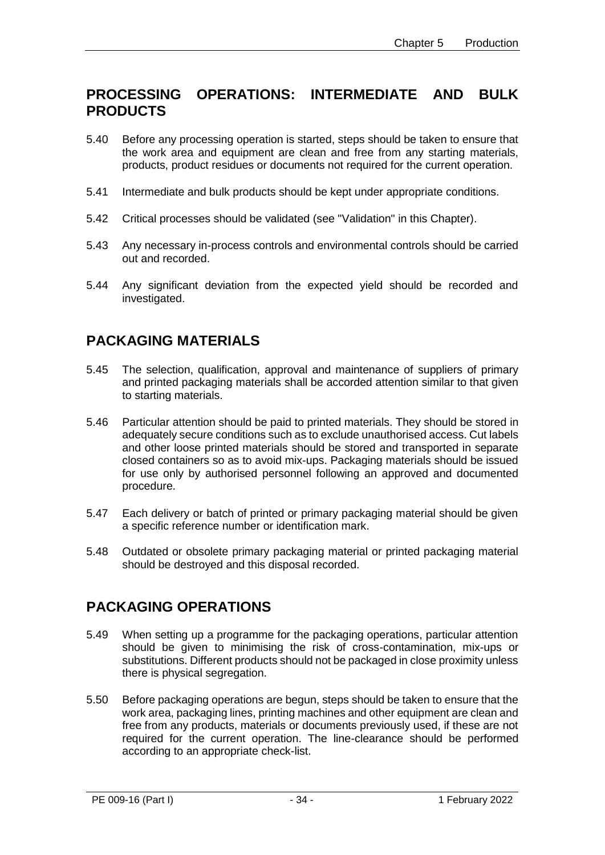#### **PROCESSING OPERATIONS: INTERMEDIATE AND BULK PRODUCTS**

- 5.40 Before any processing operation is started, steps should be taken to ensure that the work area and equipment are clean and free from any starting materials, products, product residues or documents not required for the current operation.
- 5.41 Intermediate and bulk products should be kept under appropriate conditions.
- 5.42 Critical processes should be validated (see "Validation" in this Chapter).
- 5.43 Any necessary in-process controls and environmental controls should be carried out and recorded.
- 5.44 Any significant deviation from the expected yield should be recorded and investigated.

#### **PACKAGING MATERIALS**

- 5.45 The selection, qualification, approval and maintenance of suppliers of primary and printed packaging materials shall be accorded attention similar to that given to starting materials.
- 5.46 Particular attention should be paid to printed materials. They should be stored in adequately secure conditions such as to exclude unauthorised access. Cut labels and other loose printed materials should be stored and transported in separate closed containers so as to avoid mix-ups. Packaging materials should be issued for use only by authorised personnel following an approved and documented procedure.
- 5.47 Each delivery or batch of printed or primary packaging material should be given a specific reference number or identification mark.
- 5.48 Outdated or obsolete primary packaging material or printed packaging material should be destroyed and this disposal recorded.

### **PACKAGING OPERATIONS**

- 5.49 When setting up a programme for the packaging operations, particular attention should be given to minimising the risk of cross-contamination, mix-ups or substitutions. Different products should not be packaged in close proximity unless there is physical segregation.
- 5.50 Before packaging operations are begun, steps should be taken to ensure that the work area, packaging lines, printing machines and other equipment are clean and free from any products, materials or documents previously used, if these are not required for the current operation. The line-clearance should be performed according to an appropriate check-list.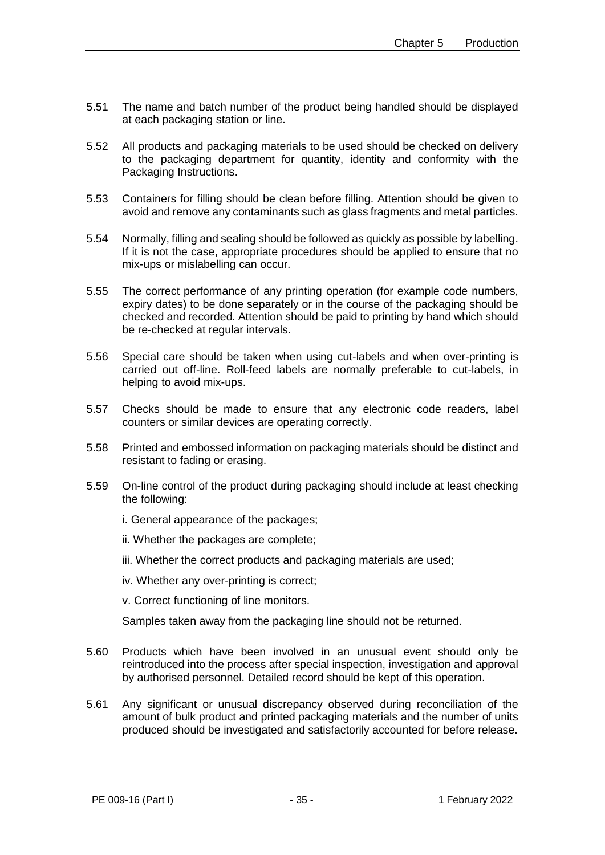- 5.51 The name and batch number of the product being handled should be displayed at each packaging station or line.
- 5.52 All products and packaging materials to be used should be checked on delivery to the packaging department for quantity, identity and conformity with the Packaging Instructions.
- 5.53 Containers for filling should be clean before filling. Attention should be given to avoid and remove any contaminants such as glass fragments and metal particles.
- 5.54 Normally, filling and sealing should be followed as quickly as possible by labelling. If it is not the case, appropriate procedures should be applied to ensure that no mix-ups or mislabelling can occur.
- 5.55 The correct performance of any printing operation (for example code numbers, expiry dates) to be done separately or in the course of the packaging should be checked and recorded. Attention should be paid to printing by hand which should be re-checked at regular intervals.
- 5.56 Special care should be taken when using cut-labels and when over-printing is carried out off-line. Roll-feed labels are normally preferable to cut-labels, in helping to avoid mix-ups.
- 5.57 Checks should be made to ensure that any electronic code readers, label counters or similar devices are operating correctly.
- 5.58 Printed and embossed information on packaging materials should be distinct and resistant to fading or erasing.
- 5.59 On-line control of the product during packaging should include at least checking the following:
	- i. General appearance of the packages;
	- ii. Whether the packages are complete;
	- iii. Whether the correct products and packaging materials are used;
	- iv. Whether any over-printing is correct;
	- v. Correct functioning of line monitors.

Samples taken away from the packaging line should not be returned.

- 5.60 Products which have been involved in an unusual event should only be reintroduced into the process after special inspection, investigation and approval by authorised personnel. Detailed record should be kept of this operation.
- 5.61 Any significant or unusual discrepancy observed during reconciliation of the amount of bulk product and printed packaging materials and the number of units produced should be investigated and satisfactorily accounted for before release.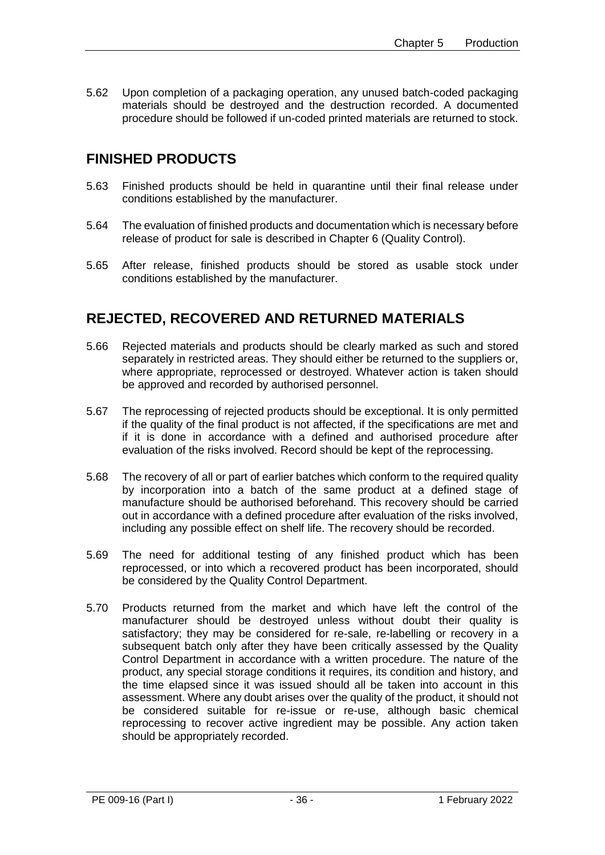5.62 Upon completion of a packaging operation, any unused batch-coded packaging materials should be destroyed and the destruction recorded. A documented procedure should be followed if un-coded printed materials are returned to stock.

#### **FINISHED PRODUCTS**

- 5.63 Finished products should be held in quarantine until their final release under conditions established by the manufacturer.
- 5.64 The evaluation of finished products and documentation which is necessary before release of product for sale is described in Chapter 6 (Quality Control).
- 5.65 After release, finished products should be stored as usable stock under conditions established by the manufacturer.

### **REJECTED, RECOVERED AND RETURNED MATERIALS**

- 5.66 Rejected materials and products should be clearly marked as such and stored separately in restricted areas. They should either be returned to the suppliers or, where appropriate, reprocessed or destroyed. Whatever action is taken should be approved and recorded by authorised personnel.
- 5.67 The reprocessing of rejected products should be exceptional. It is only permitted if the quality of the final product is not affected, if the specifications are met and if it is done in accordance with a defined and authorised procedure after evaluation of the risks involved. Record should be kept of the reprocessing.
- 5.68 The recovery of all or part of earlier batches which conform to the required quality by incorporation into a batch of the same product at a defined stage of manufacture should be authorised beforehand. This recovery should be carried out in accordance with a defined procedure after evaluation of the risks involved, including any possible effect on shelf life. The recovery should be recorded.
- 5.69 The need for additional testing of any finished product which has been reprocessed, or into which a recovered product has been incorporated, should be considered by the Quality Control Department.
- 5.70 Products returned from the market and which have left the control of the manufacturer should be destroyed unless without doubt their quality is satisfactory; they may be considered for re-sale, re-labelling or recovery in a subsequent batch only after they have been critically assessed by the Quality Control Department in accordance with a written procedure. The nature of the product, any special storage conditions it requires, its condition and history, and the time elapsed since it was issued should all be taken into account in this assessment. Where any doubt arises over the quality of the product, it should not be considered suitable for re-issue or re-use, although basic chemical reprocessing to recover active ingredient may be possible. Any action taken should be appropriately recorded.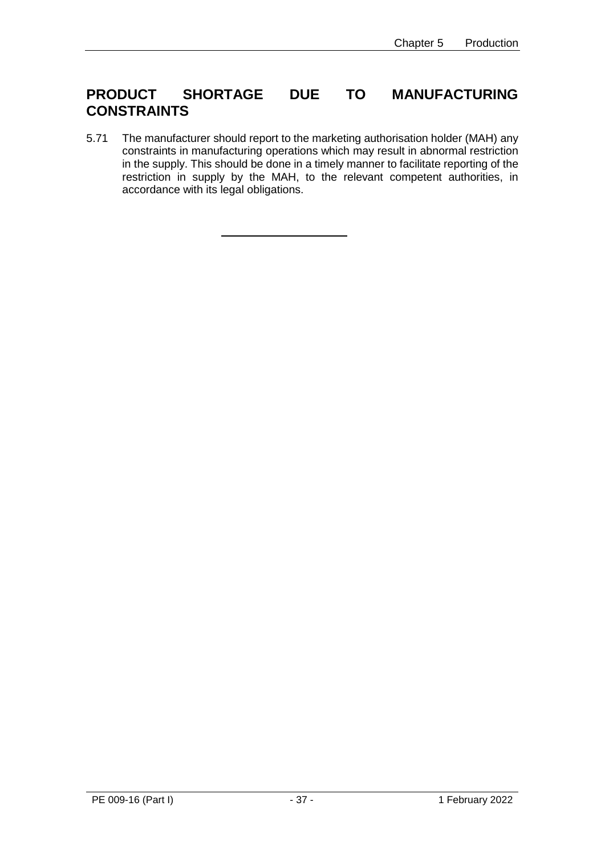#### **PRODUCT SHORTAGE DUE TO MANUFACTURING CONSTRAINTS**

5.71 The manufacturer should report to the marketing authorisation holder (MAH) any constraints in manufacturing operations which may result in abnormal restriction in the supply. This should be done in a timely manner to facilitate reporting of the restriction in supply by the MAH, to the relevant competent authorities, in accordance with its legal obligations.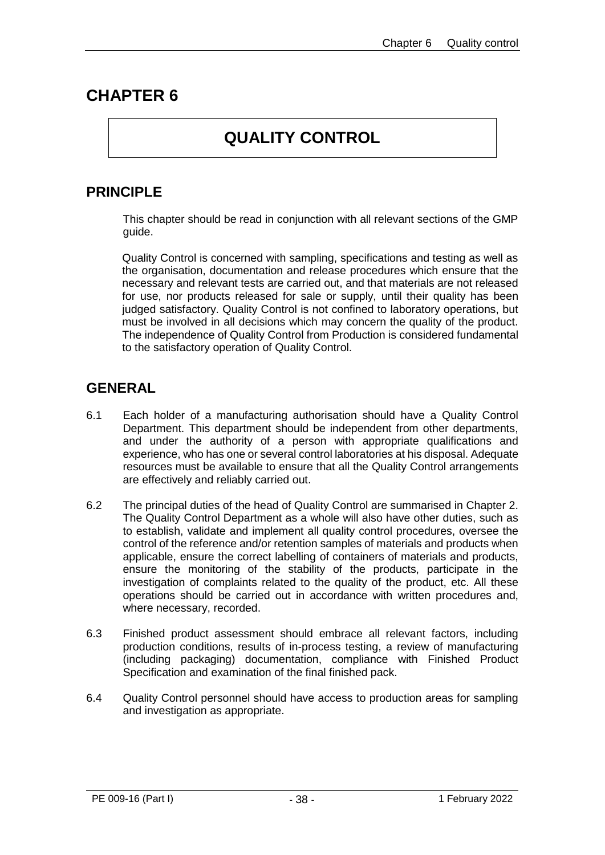## **CHAPTER 6**

## **QUALITY CONTROL**

### **PRINCIPLE**

This chapter should be read in conjunction with all relevant sections of the GMP guide.

Quality Control is concerned with sampling, specifications and testing as well as the organisation, documentation and release procedures which ensure that the necessary and relevant tests are carried out, and that materials are not released for use, nor products released for sale or supply, until their quality has been judged satisfactory. Quality Control is not confined to laboratory operations, but must be involved in all decisions which may concern the quality of the product. The independence of Quality Control from Production is considered fundamental to the satisfactory operation of Quality Control.

### **GENERAL**

- 6.1 Each holder of a manufacturing authorisation should have a Quality Control Department. This department should be independent from other departments, and under the authority of a person with appropriate qualifications and experience, who has one or several control laboratories at his disposal. Adequate resources must be available to ensure that all the Quality Control arrangements are effectively and reliably carried out.
- 6.2 The principal duties of the head of Quality Control are summarised in Chapter 2. The Quality Control Department as a whole will also have other duties, such as to establish, validate and implement all quality control procedures, oversee the control of the reference and/or retention samples of materials and products when applicable, ensure the correct labelling of containers of materials and products, ensure the monitoring of the stability of the products, participate in the investigation of complaints related to the quality of the product, etc. All these operations should be carried out in accordance with written procedures and, where necessary, recorded.
- 6.3 Finished product assessment should embrace all relevant factors, including production conditions, results of in-process testing, a review of manufacturing (including packaging) documentation, compliance with Finished Product Specification and examination of the final finished pack.
- 6.4 Quality Control personnel should have access to production areas for sampling and investigation as appropriate.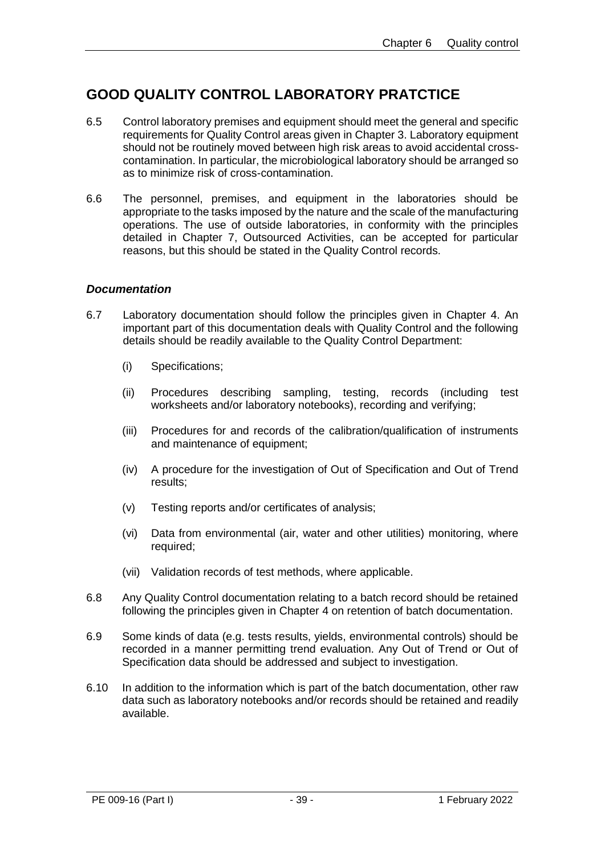### **GOOD QUALITY CONTROL LABORATORY PRATCTICE**

- 6.5 Control laboratory premises and equipment should meet the general and specific requirements for Quality Control areas given in Chapter 3. Laboratory equipment should not be routinely moved between high risk areas to avoid accidental crosscontamination. In particular, the microbiological laboratory should be arranged so as to minimize risk of cross-contamination.
- 6.6 The personnel, premises, and equipment in the laboratories should be appropriate to the tasks imposed by the nature and the scale of the manufacturing operations. The use of outside laboratories, in conformity with the principles detailed in Chapter 7, Outsourced Activities, can be accepted for particular reasons, but this should be stated in the Quality Control records.

#### *Documentation*

- 6.7 Laboratory documentation should follow the principles given in Chapter 4. An important part of this documentation deals with Quality Control and the following details should be readily available to the Quality Control Department:
	- (i) Specifications;
	- (ii) Procedures describing sampling, testing, records (including test worksheets and/or laboratory notebooks), recording and verifying;
	- (iii) Procedures for and records of the calibration/qualification of instruments and maintenance of equipment;
	- (iv) A procedure for the investigation of Out of Specification and Out of Trend results;
	- (v) Testing reports and/or certificates of analysis;
	- (vi) Data from environmental (air, water and other utilities) monitoring, where required;
	- (vii) Validation records of test methods, where applicable.
- 6.8 Any Quality Control documentation relating to a batch record should be retained following the principles given in Chapter 4 on retention of batch documentation.
- 6.9 Some kinds of data (e.g. tests results, yields, environmental controls) should be recorded in a manner permitting trend evaluation. Any Out of Trend or Out of Specification data should be addressed and subject to investigation.
- 6.10 In addition to the information which is part of the batch documentation, other raw data such as laboratory notebooks and/or records should be retained and readily available.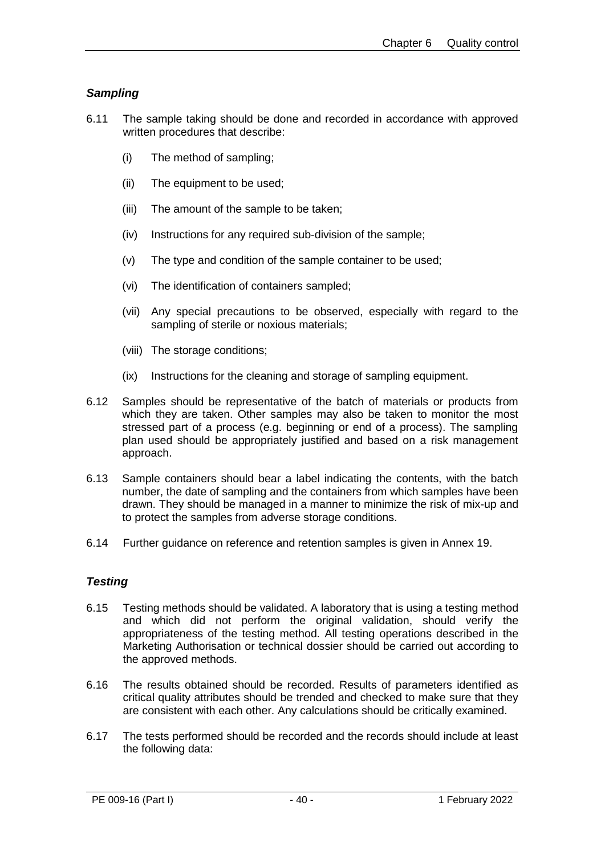#### *Sampling*

- 6.11 The sample taking should be done and recorded in accordance with approved written procedures that describe:
	- (i) The method of sampling;
	- (ii) The equipment to be used;
	- (iii) The amount of the sample to be taken;
	- (iv) Instructions for any required sub-division of the sample;
	- (v) The type and condition of the sample container to be used;
	- (vi) The identification of containers sampled;
	- (vii) Any special precautions to be observed, especially with regard to the sampling of sterile or noxious materials;
	- (viii) The storage conditions;
	- (ix) Instructions for the cleaning and storage of sampling equipment.
- 6.12 Samples should be representative of the batch of materials or products from which they are taken. Other samples may also be taken to monitor the most stressed part of a process (e.g. beginning or end of a process). The sampling plan used should be appropriately justified and based on a risk management approach.
- 6.13 Sample containers should bear a label indicating the contents, with the batch number, the date of sampling and the containers from which samples have been drawn. They should be managed in a manner to minimize the risk of mix-up and to protect the samples from adverse storage conditions.
- 6.14 Further guidance on reference and retention samples is given in Annex 19.

#### *Testing*

- 6.15 Testing methods should be validated. A laboratory that is using a testing method and which did not perform the original validation, should verify the appropriateness of the testing method. All testing operations described in the Marketing Authorisation or technical dossier should be carried out according to the approved methods.
- 6.16 The results obtained should be recorded. Results of parameters identified as critical quality attributes should be trended and checked to make sure that they are consistent with each other. Any calculations should be critically examined.
- 6.17 The tests performed should be recorded and the records should include at least the following data: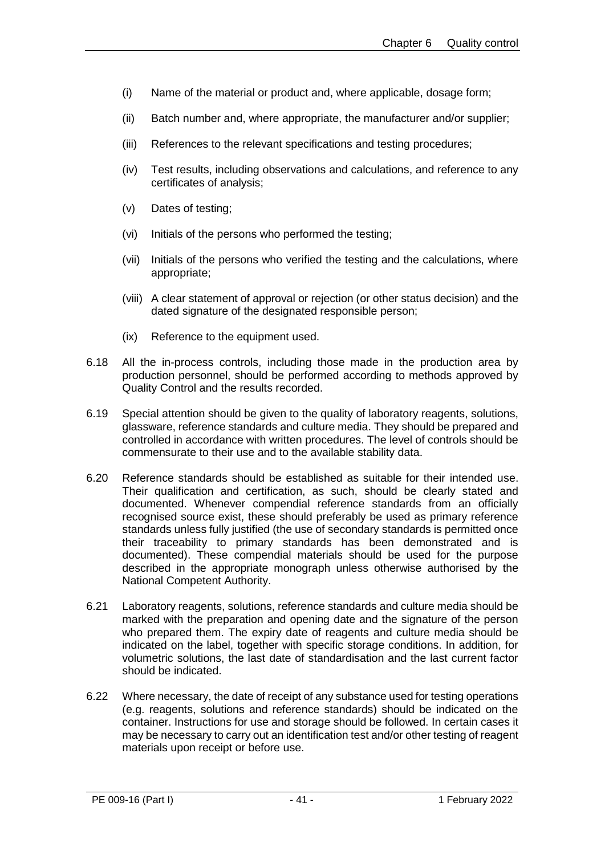- (i) Name of the material or product and, where applicable, dosage form;
- (ii) Batch number and, where appropriate, the manufacturer and/or supplier;
- (iii) References to the relevant specifications and testing procedures;
- (iv) Test results, including observations and calculations, and reference to any certificates of analysis;
- (v) Dates of testing;
- (vi) Initials of the persons who performed the testing;
- (vii) Initials of the persons who verified the testing and the calculations, where appropriate;
- (viii) A clear statement of approval or rejection (or other status decision) and the dated signature of the designated responsible person;
- (ix) Reference to the equipment used.
- 6.18 All the in-process controls, including those made in the production area by production personnel, should be performed according to methods approved by Quality Control and the results recorded.
- 6.19 Special attention should be given to the quality of laboratory reagents, solutions, glassware, reference standards and culture media. They should be prepared and controlled in accordance with written procedures. The level of controls should be commensurate to their use and to the available stability data.
- 6.20 Reference standards should be established as suitable for their intended use. Their qualification and certification, as such, should be clearly stated and documented. Whenever compendial reference standards from an officially recognised source exist, these should preferably be used as primary reference standards unless fully justified (the use of secondary standards is permitted once their traceability to primary standards has been demonstrated and is documented). These compendial materials should be used for the purpose described in the appropriate monograph unless otherwise authorised by the National Competent Authority.
- 6.21 Laboratory reagents, solutions, reference standards and culture media should be marked with the preparation and opening date and the signature of the person who prepared them. The expiry date of reagents and culture media should be indicated on the label, together with specific storage conditions. In addition, for volumetric solutions, the last date of standardisation and the last current factor should be indicated.
- 6.22 Where necessary, the date of receipt of any substance used for testing operations (e.g. reagents, solutions and reference standards) should be indicated on the container. Instructions for use and storage should be followed. In certain cases it may be necessary to carry out an identification test and/or other testing of reagent materials upon receipt or before use.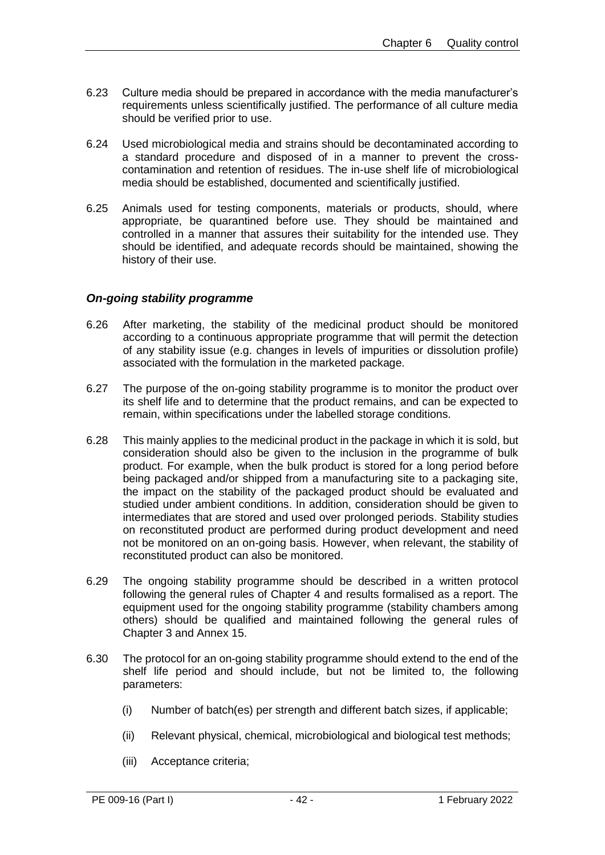- 6.23 Culture media should be prepared in accordance with the media manufacturer's requirements unless scientifically justified. The performance of all culture media should be verified prior to use.
- 6.24 Used microbiological media and strains should be decontaminated according to a standard procedure and disposed of in a manner to prevent the crosscontamination and retention of residues. The in-use shelf life of microbiological media should be established, documented and scientifically justified.
- 6.25 Animals used for testing components, materials or products, should, where appropriate, be quarantined before use. They should be maintained and controlled in a manner that assures their suitability for the intended use. They should be identified, and adequate records should be maintained, showing the history of their use.

#### *On-going stability programme*

- 6.26 After marketing, the stability of the medicinal product should be monitored according to a continuous appropriate programme that will permit the detection of any stability issue (e.g. changes in levels of impurities or dissolution profile) associated with the formulation in the marketed package.
- 6.27 The purpose of the on-going stability programme is to monitor the product over its shelf life and to determine that the product remains, and can be expected to remain, within specifications under the labelled storage conditions.
- 6.28 This mainly applies to the medicinal product in the package in which it is sold, but consideration should also be given to the inclusion in the programme of bulk product. For example, when the bulk product is stored for a long period before being packaged and/or shipped from a manufacturing site to a packaging site, the impact on the stability of the packaged product should be evaluated and studied under ambient conditions. In addition, consideration should be given to intermediates that are stored and used over prolonged periods. Stability studies on reconstituted product are performed during product development and need not be monitored on an on-going basis. However, when relevant, the stability of reconstituted product can also be monitored.
- 6.29 The ongoing stability programme should be described in a written protocol following the general rules of Chapter 4 and results formalised as a report. The equipment used for the ongoing stability programme (stability chambers among others) should be qualified and maintained following the general rules of Chapter 3 and Annex 15.
- 6.30 The protocol for an on-going stability programme should extend to the end of the shelf life period and should include, but not be limited to, the following parameters:
	- (i) Number of batch(es) per strength and different batch sizes, if applicable;
	- (ii) Relevant physical, chemical, microbiological and biological test methods;
	- (iii) Acceptance criteria;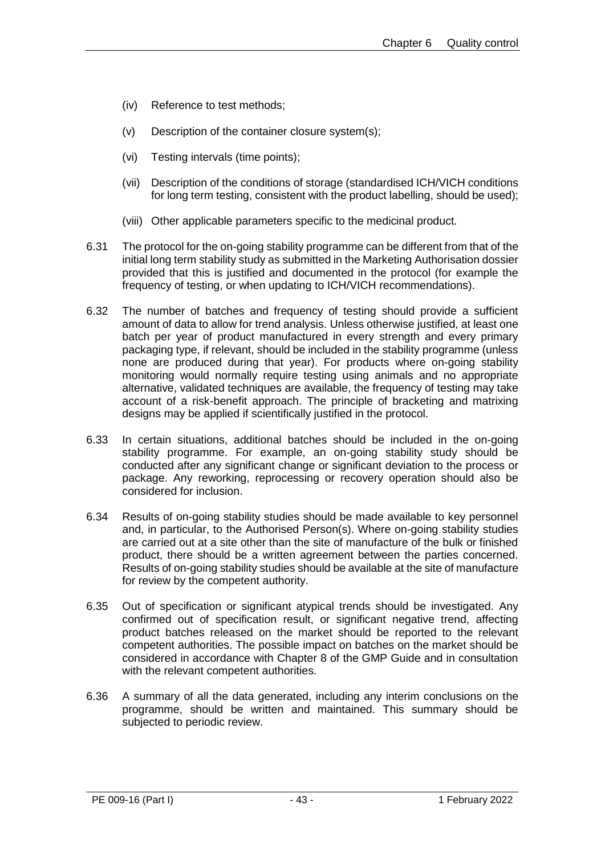- (iv) Reference to test methods;
- (v) Description of the container closure system(s);
- (vi) Testing intervals (time points);
- (vii) Description of the conditions of storage (standardised ICH/VICH conditions for long term testing, consistent with the product labelling, should be used);
- (viii) Other applicable parameters specific to the medicinal product.
- 6.31 The protocol for the on-going stability programme can be different from that of the initial long term stability study as submitted in the Marketing Authorisation dossier provided that this is justified and documented in the protocol (for example the frequency of testing, or when updating to ICH/VICH recommendations).
- 6.32 The number of batches and frequency of testing should provide a sufficient amount of data to allow for trend analysis. Unless otherwise justified, at least one batch per year of product manufactured in every strength and every primary packaging type, if relevant, should be included in the stability programme (unless none are produced during that year). For products where on-going stability monitoring would normally require testing using animals and no appropriate alternative, validated techniques are available, the frequency of testing may take account of a risk-benefit approach. The principle of bracketing and matrixing designs may be applied if scientifically justified in the protocol.
- 6.33 In certain situations, additional batches should be included in the on-going stability programme. For example, an on-going stability study should be conducted after any significant change or significant deviation to the process or package. Any reworking, reprocessing or recovery operation should also be considered for inclusion.
- 6.34 Results of on-going stability studies should be made available to key personnel and, in particular, to the Authorised Person(s). Where on-going stability studies are carried out at a site other than the site of manufacture of the bulk or finished product, there should be a written agreement between the parties concerned. Results of on-going stability studies should be available at the site of manufacture for review by the competent authority.
- 6.35 Out of specification or significant atypical trends should be investigated. Any confirmed out of specification result, or significant negative trend, affecting product batches released on the market should be reported to the relevant competent authorities. The possible impact on batches on the market should be considered in accordance with Chapter 8 of the GMP Guide and in consultation with the relevant competent authorities.
- 6.36 A summary of all the data generated, including any interim conclusions on the programme, should be written and maintained. This summary should be subjected to periodic review.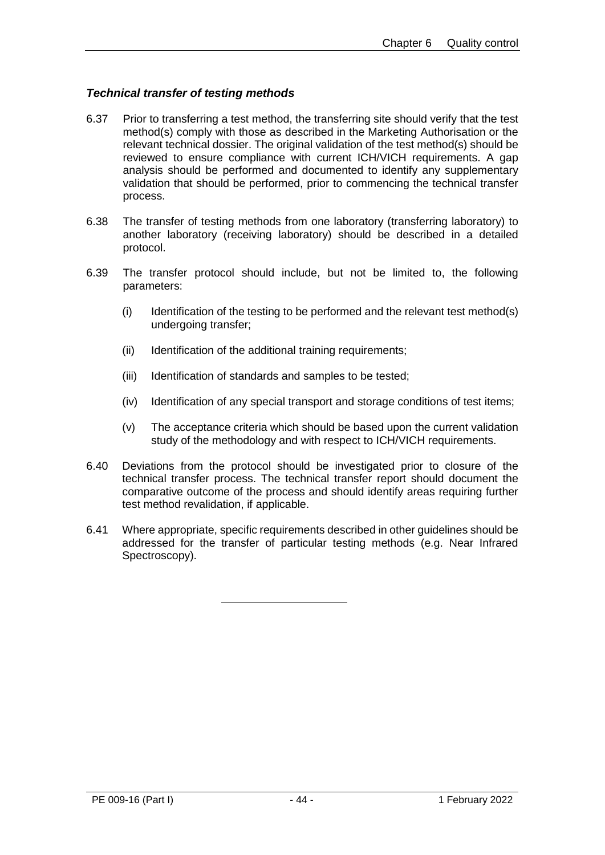#### *Technical transfer of testing methods*

- 6.37 Prior to transferring a test method, the transferring site should verify that the test method(s) comply with those as described in the Marketing Authorisation or the relevant technical dossier. The original validation of the test method(s) should be reviewed to ensure compliance with current ICH/VICH requirements. A gap analysis should be performed and documented to identify any supplementary validation that should be performed, prior to commencing the technical transfer process.
- 6.38 The transfer of testing methods from one laboratory (transferring laboratory) to another laboratory (receiving laboratory) should be described in a detailed protocol.
- 6.39 The transfer protocol should include, but not be limited to, the following parameters:
	- (i) Identification of the testing to be performed and the relevant test method(s) undergoing transfer;
	- (ii) Identification of the additional training requirements;
	- (iii) Identification of standards and samples to be tested;
	- (iv) Identification of any special transport and storage conditions of test items;
	- (v) The acceptance criteria which should be based upon the current validation study of the methodology and with respect to ICH/VICH requirements.
- 6.40 Deviations from the protocol should be investigated prior to closure of the technical transfer process. The technical transfer report should document the comparative outcome of the process and should identify areas requiring further test method revalidation, if applicable.
- 6.41 Where appropriate, specific requirements described in other guidelines should be addressed for the transfer of particular testing methods (e.g. Near Infrared Spectroscopy).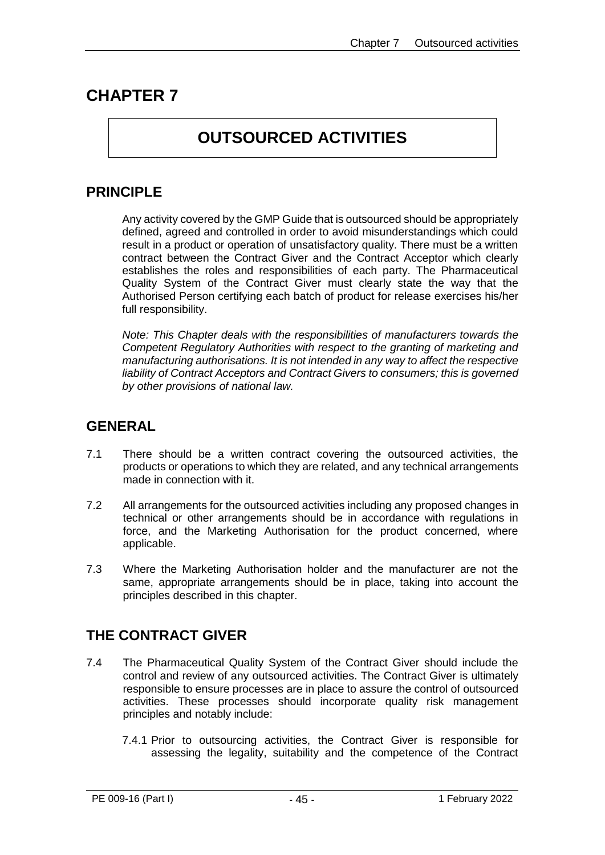## **CHAPTER 7**

## **OUTSOURCED ACTIVITIES**

#### **PRINCIPLE**

Any activity covered by the GMP Guide that is outsourced should be appropriately defined, agreed and controlled in order to avoid misunderstandings which could result in a product or operation of unsatisfactory quality. There must be a written contract between the Contract Giver and the Contract Acceptor which clearly establishes the roles and responsibilities of each party. The Pharmaceutical Quality System of the Contract Giver must clearly state the way that the Authorised Person certifying each batch of product for release exercises his/her full responsibility.

*Note: This Chapter deals with the responsibilities of manufacturers towards the Competent Regulatory Authorities with respect to the granting of marketing and manufacturing authorisations. It is not intended in any way to affect the respective liability of Contract Acceptors and Contract Givers to consumers; this is governed by other provisions of national law.* 

### **GENERAL**

- 7.1 There should be a written contract covering the outsourced activities, the products or operations to which they are related, and any technical arrangements made in connection with it.
- 7.2 All arrangements for the outsourced activities including any proposed changes in technical or other arrangements should be in accordance with regulations in force, and the Marketing Authorisation for the product concerned, where applicable.
- 7.3 Where the Marketing Authorisation holder and the manufacturer are not the same, appropriate arrangements should be in place, taking into account the principles described in this chapter.

## **THE CONTRACT GIVER**

- 7.4 The Pharmaceutical Quality System of the Contract Giver should include the control and review of any outsourced activities. The Contract Giver is ultimately responsible to ensure processes are in place to assure the control of outsourced activities. These processes should incorporate quality risk management principles and notably include:
	- 7.4.1 Prior to outsourcing activities, the Contract Giver is responsible for assessing the legality, suitability and the competence of the Contract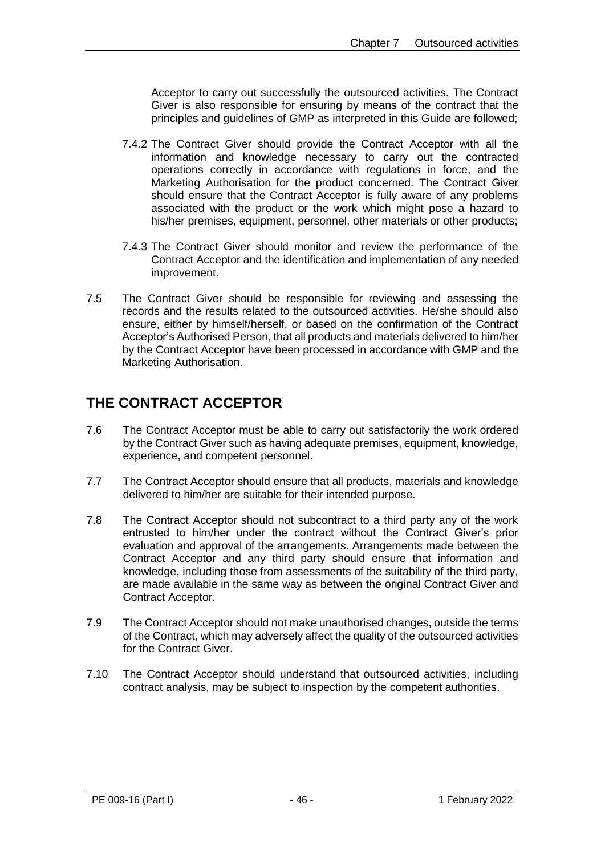Acceptor to carry out successfully the outsourced activities. The Contract Giver is also responsible for ensuring by means of the contract that the principles and guidelines of GMP as interpreted in this Guide are followed;

- 7.4.2 The Contract Giver should provide the Contract Acceptor with all the information and knowledge necessary to carry out the contracted operations correctly in accordance with regulations in force, and the Marketing Authorisation for the product concerned. The Contract Giver should ensure that the Contract Acceptor is fully aware of any problems associated with the product or the work which might pose a hazard to his/her premises, equipment, personnel, other materials or other products;
- 7.4.3 The Contract Giver should monitor and review the performance of the Contract Acceptor and the identification and implementation of any needed improvement.
- 7.5 The Contract Giver should be responsible for reviewing and assessing the records and the results related to the outsourced activities. He/she should also ensure, either by himself/herself, or based on the confirmation of the Contract Acceptor's Authorised Person, that all products and materials delivered to him/her by the Contract Acceptor have been processed in accordance with GMP and the Marketing Authorisation.

## **THE CONTRACT ACCEPTOR**

- 7.6 The Contract Acceptor must be able to carry out satisfactorily the work ordered by the Contract Giver such as having adequate premises, equipment, knowledge, experience, and competent personnel.
- 7.7 The Contract Acceptor should ensure that all products, materials and knowledge delivered to him/her are suitable for their intended purpose.
- 7.8 The Contract Acceptor should not subcontract to a third party any of the work entrusted to him/her under the contract without the Contract Giver's prior evaluation and approval of the arrangements. Arrangements made between the Contract Acceptor and any third party should ensure that information and knowledge, including those from assessments of the suitability of the third party, are made available in the same way as between the original Contract Giver and Contract Acceptor.
- 7.9 The Contract Acceptor should not make unauthorised changes, outside the terms of the Contract, which may adversely affect the quality of the outsourced activities for the Contract Giver.
- 7.10 The Contract Acceptor should understand that outsourced activities, including contract analysis, may be subject to inspection by the competent authorities.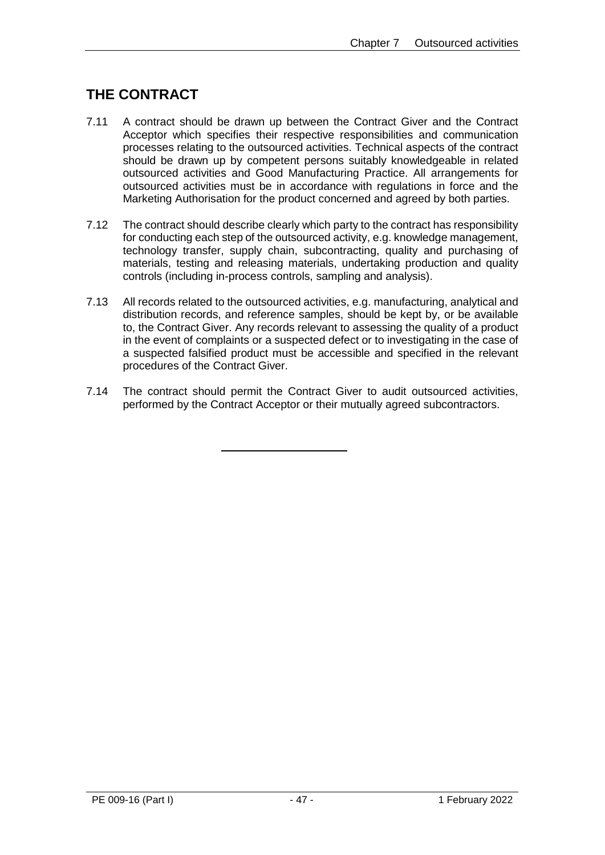## **THE CONTRACT**

- 7.11 A contract should be drawn up between the Contract Giver and the Contract Acceptor which specifies their respective responsibilities and communication processes relating to the outsourced activities. Technical aspects of the contract should be drawn up by competent persons suitably knowledgeable in related outsourced activities and Good Manufacturing Practice. All arrangements for outsourced activities must be in accordance with regulations in force and the Marketing Authorisation for the product concerned and agreed by both parties.
- 7.12 The contract should describe clearly which party to the contract has responsibility for conducting each step of the outsourced activity, e.g. knowledge management, technology transfer, supply chain, subcontracting, quality and purchasing of materials, testing and releasing materials, undertaking production and quality controls (including in-process controls, sampling and analysis).
- 7.13 All records related to the outsourced activities, e.g. manufacturing, analytical and distribution records, and reference samples, should be kept by, or be available to, the Contract Giver. Any records relevant to assessing the quality of a product in the event of complaints or a suspected defect or to investigating in the case of a suspected falsified product must be accessible and specified in the relevant procedures of the Contract Giver.
- 7.14 The contract should permit the Contract Giver to audit outsourced activities, performed by the Contract Acceptor or their mutually agreed subcontractors.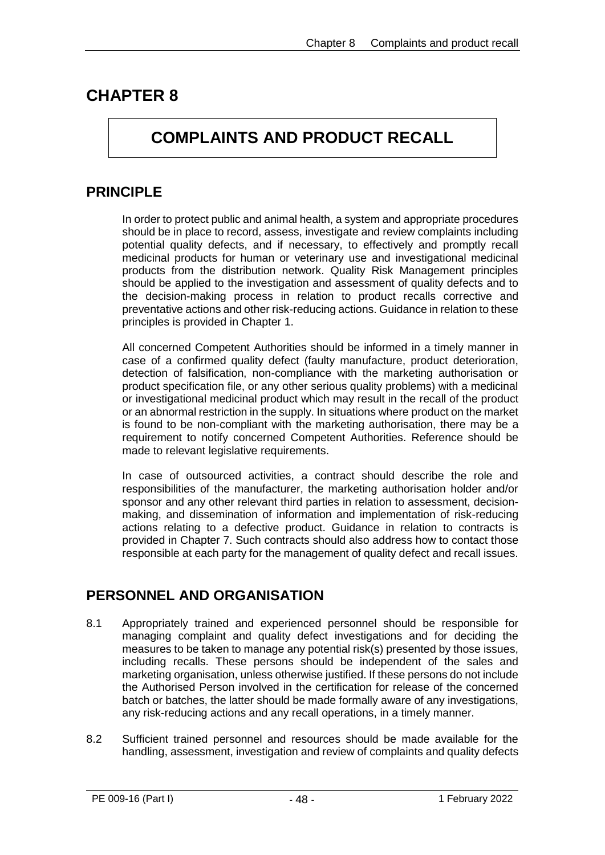## **CHAPTER 8**

## **COMPLAINTS AND PRODUCT RECALL**

### **PRINCIPLE**

In order to protect public and animal health, a system and appropriate procedures should be in place to record, assess, investigate and review complaints including potential quality defects, and if necessary, to effectively and promptly recall medicinal products for human or veterinary use and investigational medicinal products from the distribution network. Quality Risk Management principles should be applied to the investigation and assessment of quality defects and to the decision-making process in relation to product recalls corrective and preventative actions and other risk-reducing actions. Guidance in relation to these principles is provided in Chapter 1.

All concerned Competent Authorities should be informed in a timely manner in case of a confirmed quality defect (faulty manufacture, product deterioration, detection of falsification, non-compliance with the marketing authorisation or product specification file, or any other serious quality problems) with a medicinal or investigational medicinal product which may result in the recall of the product or an abnormal restriction in the supply. In situations where product on the market is found to be non-compliant with the marketing authorisation, there may be a requirement to notify concerned Competent Authorities. Reference should be made to relevant legislative requirements.

In case of outsourced activities, a contract should describe the role and responsibilities of the manufacturer, the marketing authorisation holder and/or sponsor and any other relevant third parties in relation to assessment, decisionmaking, and dissemination of information and implementation of risk-reducing actions relating to a defective product. Guidance in relation to contracts is provided in Chapter 7. Such contracts should also address how to contact those responsible at each party for the management of quality defect and recall issues.

### **PERSONNEL AND ORGANISATION**

- 8.1 Appropriately trained and experienced personnel should be responsible for managing complaint and quality defect investigations and for deciding the measures to be taken to manage any potential risk(s) presented by those issues, including recalls. These persons should be independent of the sales and marketing organisation, unless otherwise justified. If these persons do not include the Authorised Person involved in the certification for release of the concerned batch or batches, the latter should be made formally aware of any investigations, any risk-reducing actions and any recall operations, in a timely manner.
- 8.2 Sufficient trained personnel and resources should be made available for the handling, assessment, investigation and review of complaints and quality defects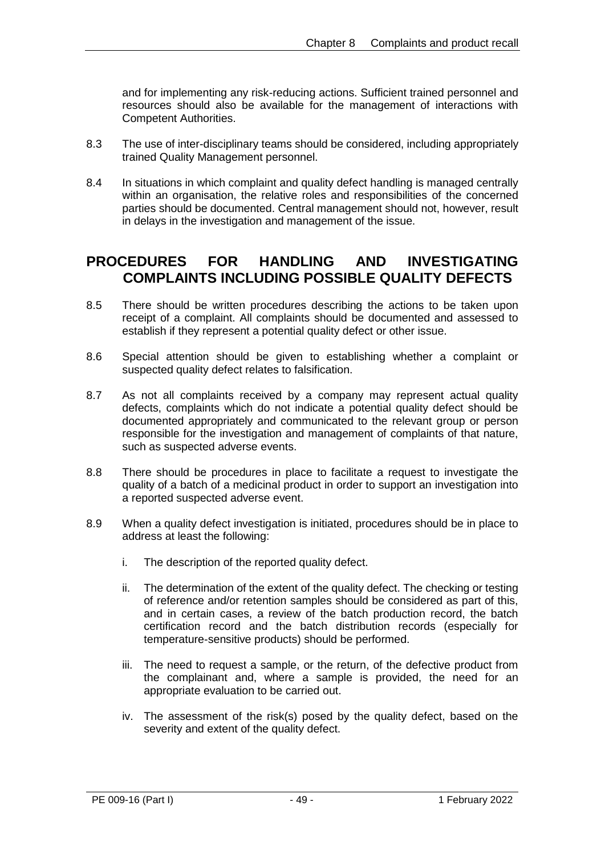and for implementing any risk-reducing actions. Sufficient trained personnel and resources should also be available for the management of interactions with Competent Authorities.

- 8.3 The use of inter-disciplinary teams should be considered, including appropriately trained Quality Management personnel.
- 8.4 In situations in which complaint and quality defect handling is managed centrally within an organisation, the relative roles and responsibilities of the concerned parties should be documented. Central management should not, however, result in delays in the investigation and management of the issue.

#### **PROCEDURES FOR HANDLING AND INVESTIGATING COMPLAINTS INCLUDING POSSIBLE QUALITY DEFECTS**

- 8.5 There should be written procedures describing the actions to be taken upon receipt of a complaint. All complaints should be documented and assessed to establish if they represent a potential quality defect or other issue.
- 8.6 Special attention should be given to establishing whether a complaint or suspected quality defect relates to falsification.
- 8.7 As not all complaints received by a company may represent actual quality defects, complaints which do not indicate a potential quality defect should be documented appropriately and communicated to the relevant group or person responsible for the investigation and management of complaints of that nature, such as suspected adverse events.
- 8.8 There should be procedures in place to facilitate a request to investigate the quality of a batch of a medicinal product in order to support an investigation into a reported suspected adverse event.
- 8.9 When a quality defect investigation is initiated, procedures should be in place to address at least the following:
	- i. The description of the reported quality defect.
	- ii. The determination of the extent of the quality defect. The checking or testing of reference and/or retention samples should be considered as part of this, and in certain cases, a review of the batch production record, the batch certification record and the batch distribution records (especially for temperature-sensitive products) should be performed.
	- iii. The need to request a sample, or the return, of the defective product from the complainant and, where a sample is provided, the need for an appropriate evaluation to be carried out.
	- iv. The assessment of the risk(s) posed by the quality defect, based on the severity and extent of the quality defect.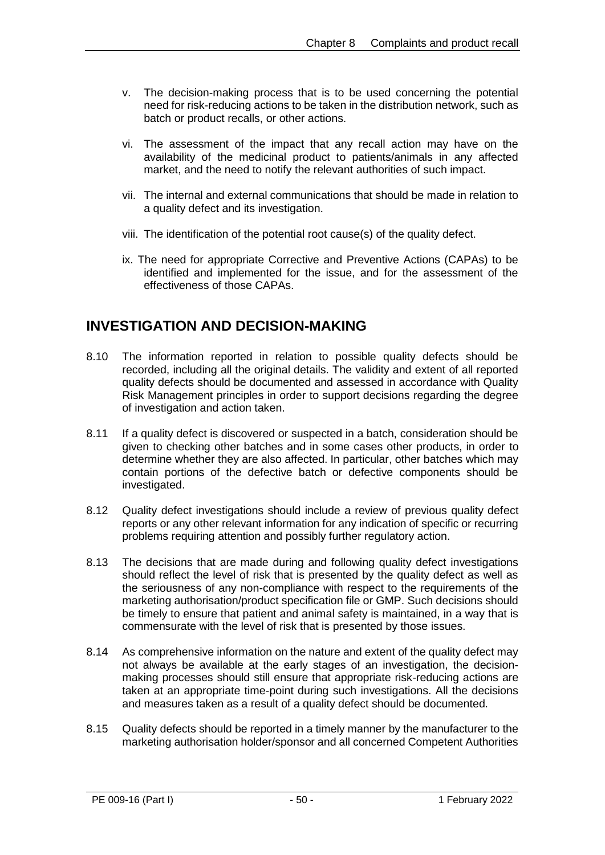- v. The decision-making process that is to be used concerning the potential need for risk-reducing actions to be taken in the distribution network, such as batch or product recalls, or other actions.
- vi. The assessment of the impact that any recall action may have on the availability of the medicinal product to patients/animals in any affected market, and the need to notify the relevant authorities of such impact.
- vii. The internal and external communications that should be made in relation to a quality defect and its investigation.
- viii. The identification of the potential root cause(s) of the quality defect.
- ix. The need for appropriate Corrective and Preventive Actions (CAPAs) to be identified and implemented for the issue, and for the assessment of the effectiveness of those CAPAs.

### **INVESTIGATION AND DECISION-MAKING**

- 8.10 The information reported in relation to possible quality defects should be recorded, including all the original details. The validity and extent of all reported quality defects should be documented and assessed in accordance with Quality Risk Management principles in order to support decisions regarding the degree of investigation and action taken.
- 8.11 If a quality defect is discovered or suspected in a batch, consideration should be given to checking other batches and in some cases other products, in order to determine whether they are also affected. In particular, other batches which may contain portions of the defective batch or defective components should be investigated.
- 8.12 Quality defect investigations should include a review of previous quality defect reports or any other relevant information for any indication of specific or recurring problems requiring attention and possibly further regulatory action.
- 8.13 The decisions that are made during and following quality defect investigations should reflect the level of risk that is presented by the quality defect as well as the seriousness of any non-compliance with respect to the requirements of the marketing authorisation/product specification file or GMP. Such decisions should be timely to ensure that patient and animal safety is maintained, in a way that is commensurate with the level of risk that is presented by those issues.
- 8.14 As comprehensive information on the nature and extent of the quality defect may not always be available at the early stages of an investigation, the decisionmaking processes should still ensure that appropriate risk-reducing actions are taken at an appropriate time-point during such investigations. All the decisions and measures taken as a result of a quality defect should be documented.
- 8.15 Quality defects should be reported in a timely manner by the manufacturer to the marketing authorisation holder/sponsor and all concerned Competent Authorities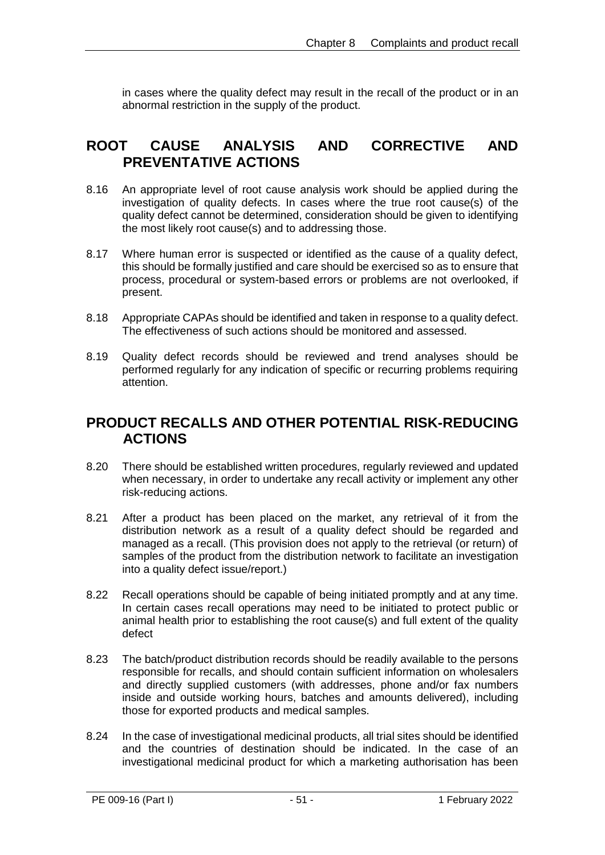in cases where the quality defect may result in the recall of the product or in an abnormal restriction in the supply of the product.

#### **ROOT CAUSE ANALYSIS AND CORRECTIVE AND PREVENTATIVE ACTIONS**

- 8.16 An appropriate level of root cause analysis work should be applied during the investigation of quality defects. In cases where the true root cause(s) of the quality defect cannot be determined, consideration should be given to identifying the most likely root cause(s) and to addressing those.
- 8.17 Where human error is suspected or identified as the cause of a quality defect, this should be formally justified and care should be exercised so as to ensure that process, procedural or system-based errors or problems are not overlooked, if present.
- 8.18 Appropriate CAPAs should be identified and taken in response to a quality defect. The effectiveness of such actions should be monitored and assessed.
- 8.19 Quality defect records should be reviewed and trend analyses should be performed regularly for any indication of specific or recurring problems requiring attention.

#### **PRODUCT RECALLS AND OTHER POTENTIAL RISK-REDUCING ACTIONS**

- 8.20 There should be established written procedures, regularly reviewed and updated when necessary, in order to undertake any recall activity or implement any other risk-reducing actions.
- 8.21 After a product has been placed on the market, any retrieval of it from the distribution network as a result of a quality defect should be regarded and managed as a recall. (This provision does not apply to the retrieval (or return) of samples of the product from the distribution network to facilitate an investigation into a quality defect issue/report.)
- 8.22 Recall operations should be capable of being initiated promptly and at any time. In certain cases recall operations may need to be initiated to protect public or animal health prior to establishing the root cause(s) and full extent of the quality defect
- 8.23 The batch/product distribution records should be readily available to the persons responsible for recalls, and should contain sufficient information on wholesalers and directly supplied customers (with addresses, phone and/or fax numbers inside and outside working hours, batches and amounts delivered), including those for exported products and medical samples.
- 8.24 In the case of investigational medicinal products, all trial sites should be identified and the countries of destination should be indicated. In the case of an investigational medicinal product for which a marketing authorisation has been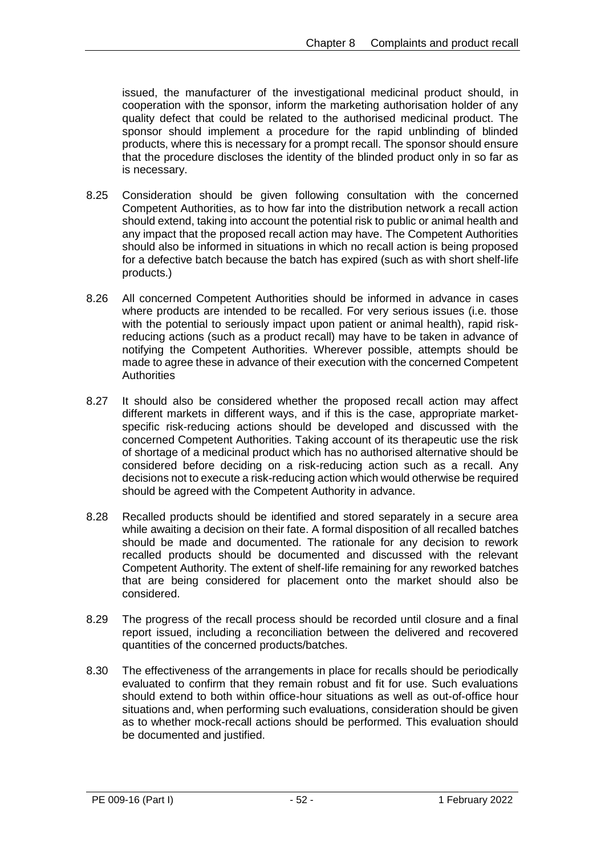issued, the manufacturer of the investigational medicinal product should, in cooperation with the sponsor, inform the marketing authorisation holder of any quality defect that could be related to the authorised medicinal product. The sponsor should implement a procedure for the rapid unblinding of blinded products, where this is necessary for a prompt recall. The sponsor should ensure that the procedure discloses the identity of the blinded product only in so far as is necessary.

- 8.25 Consideration should be given following consultation with the concerned Competent Authorities, as to how far into the distribution network a recall action should extend, taking into account the potential risk to public or animal health and any impact that the proposed recall action may have. The Competent Authorities should also be informed in situations in which no recall action is being proposed for a defective batch because the batch has expired (such as with short shelf-life products.)
- 8.26 All concerned Competent Authorities should be informed in advance in cases where products are intended to be recalled. For very serious issues (i.e. those with the potential to seriously impact upon patient or animal health), rapid riskreducing actions (such as a product recall) may have to be taken in advance of notifying the Competent Authorities. Wherever possible, attempts should be made to agree these in advance of their execution with the concerned Competent **Authorities**
- 8.27 It should also be considered whether the proposed recall action may affect different markets in different ways, and if this is the case, appropriate marketspecific risk-reducing actions should be developed and discussed with the concerned Competent Authorities. Taking account of its therapeutic use the risk of shortage of a medicinal product which has no authorised alternative should be considered before deciding on a risk-reducing action such as a recall. Any decisions not to execute a risk-reducing action which would otherwise be required should be agreed with the Competent Authority in advance.
- 8.28 Recalled products should be identified and stored separately in a secure area while awaiting a decision on their fate. A formal disposition of all recalled batches should be made and documented. The rationale for any decision to rework recalled products should be documented and discussed with the relevant Competent Authority. The extent of shelf-life remaining for any reworked batches that are being considered for placement onto the market should also be considered.
- 8.29 The progress of the recall process should be recorded until closure and a final report issued, including a reconciliation between the delivered and recovered quantities of the concerned products/batches.
- 8.30 The effectiveness of the arrangements in place for recalls should be periodically evaluated to confirm that they remain robust and fit for use. Such evaluations should extend to both within office-hour situations as well as out-of-office hour situations and, when performing such evaluations, consideration should be given as to whether mock-recall actions should be performed. This evaluation should be documented and justified.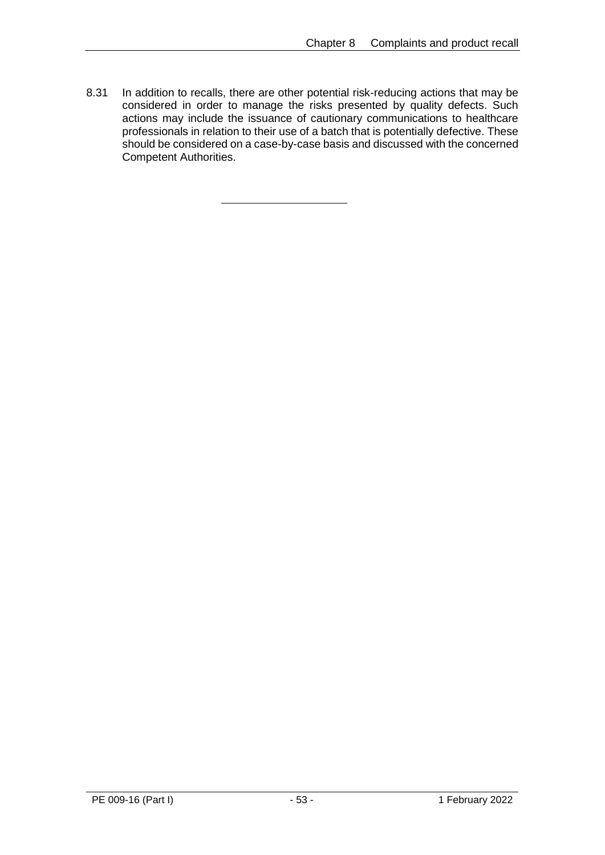8.31 In addition to recalls, there are other potential risk-reducing actions that may be considered in order to manage the risks presented by quality defects. Such actions may include the issuance of cautionary communications to healthcare professionals in relation to their use of a batch that is potentially defective. These should be considered on a case-by-case basis and discussed with the concerned Competent Authorities.